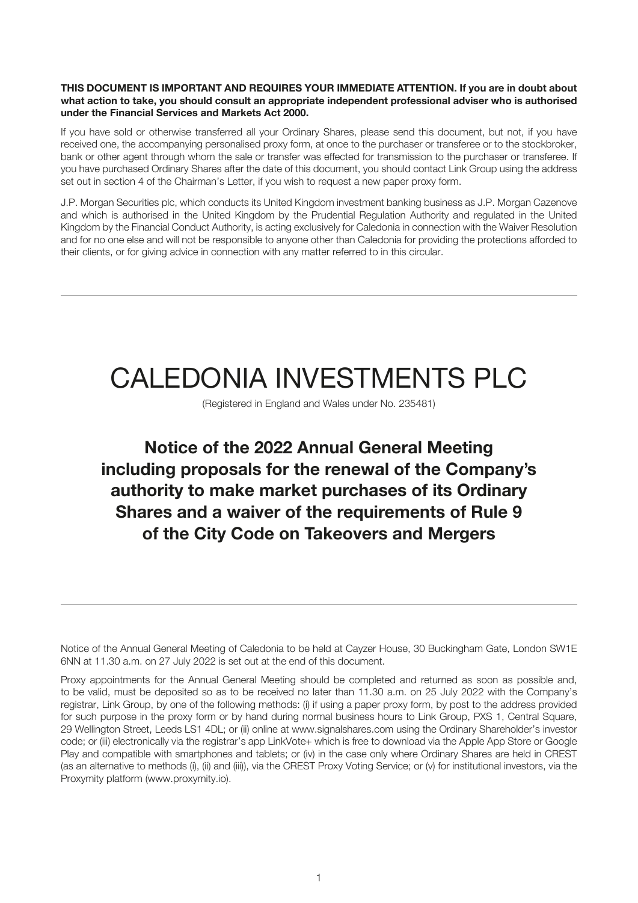#### **THIS DOCUMENT IS IMPORTANT AND REQUIRES YOUR IMMEDIATE ATTENTION. If you are in doubt about what action to take, you should consult an appropriate independent professional adviser who is authorised under the Financial Services and Markets Act 2000.**

If you have sold or otherwise transferred all your Ordinary Shares, please send this document, but not, if you have received one, the accompanying personalised proxy form, at once to the purchaser or transferee or to the stockbroker, bank or other agent through whom the sale or transfer was effected for transmission to the purchaser or transferee. If you have purchased Ordinary Shares after the date of this document, you should contact Link Group using the address set out in section 4 of the Chairman's Letter, if you wish to request a new paper proxy form.

J.P. Morgan Securities plc, which conducts its United Kingdom investment banking business as J.P. Morgan Cazenove and which is authorised in the United Kingdom by the Prudential Regulation Authority and regulated in the United Kingdom by the Financial Conduct Authority, is acting exclusively for Caledonia in connection with the Waiver Resolution and for no one else and will not be responsible to anyone other than Caledonia for providing the protections afforded to their clients, or for giving advice in connection with any matter referred to in this circular.

# CALEDONIA INVESTMENTS PLC

(Registered in England and Wales under No. 235481)

# **Notice of the 2022 Annual General Meeting including proposals for the renewal of the Company's authority to make market purchases of its Ordinary Shares and a waiver of the requirements of Rule 9 of the City Code on Takeovers and Mergers**

Notice of the Annual General Meeting of Caledonia to be held at Cayzer House, 30 Buckingham Gate, London SW1E 6NN at 11.30 a.m. on 27 July 2022 is set out at the end of this document.

Proxy appointments for the Annual General Meeting should be completed and returned as soon as possible and, to be valid, must be deposited so as to be received no later than 11.30 a.m. on 25 July 2022 with the Company's registrar, Link Group, by one of the following methods: (i) if using a paper proxy form, by post to the address provided for such purpose in the proxy form or by hand during normal business hours to Link Group, PXS 1, Central Square, 29 Wellington Street, Leeds LS1 4DL; or (ii) online at www.signalshares.com using the Ordinary Shareholder's investor code; or (iii) electronically via the registrar's app LinkVote+ which is free to download via the Apple App Store or Google Play and compatible with smartphones and tablets; or (iv) in the case only where Ordinary Shares are held in CREST (as an alternative to methods (i), (ii) and (iii)), via the CREST Proxy Voting Service; or (v) for institutional investors, via the Proxymity platform (www.proxymity.io).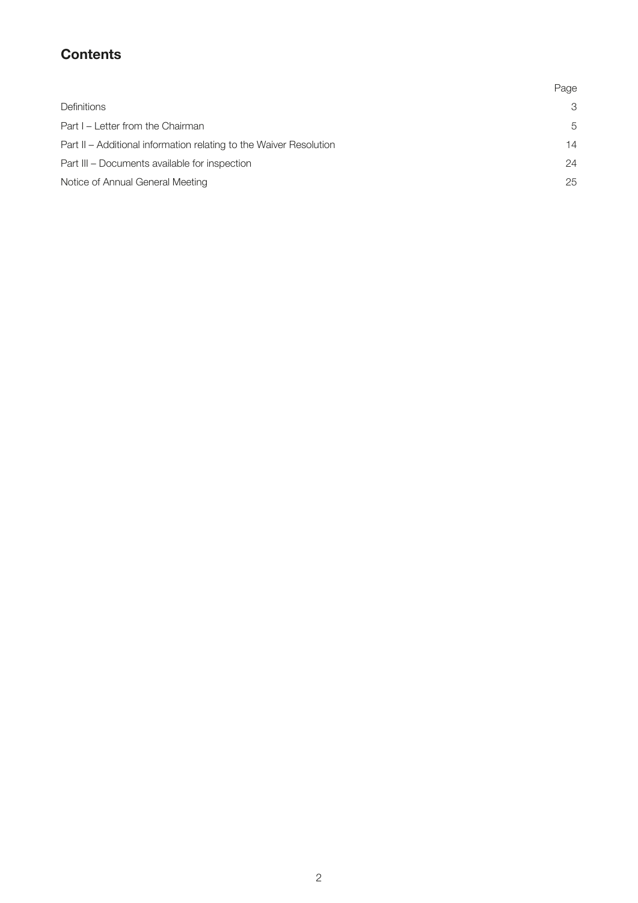# **Contents**

|                                                                    | Page |
|--------------------------------------------------------------------|------|
| <b>Definitions</b>                                                 | 3    |
| Part I - Letter from the Chairman                                  | 5    |
| Part II - Additional information relating to the Waiver Resolution | 14   |
| Part III – Documents available for inspection                      | 24   |
| Notice of Annual General Meeting                                   | 25   |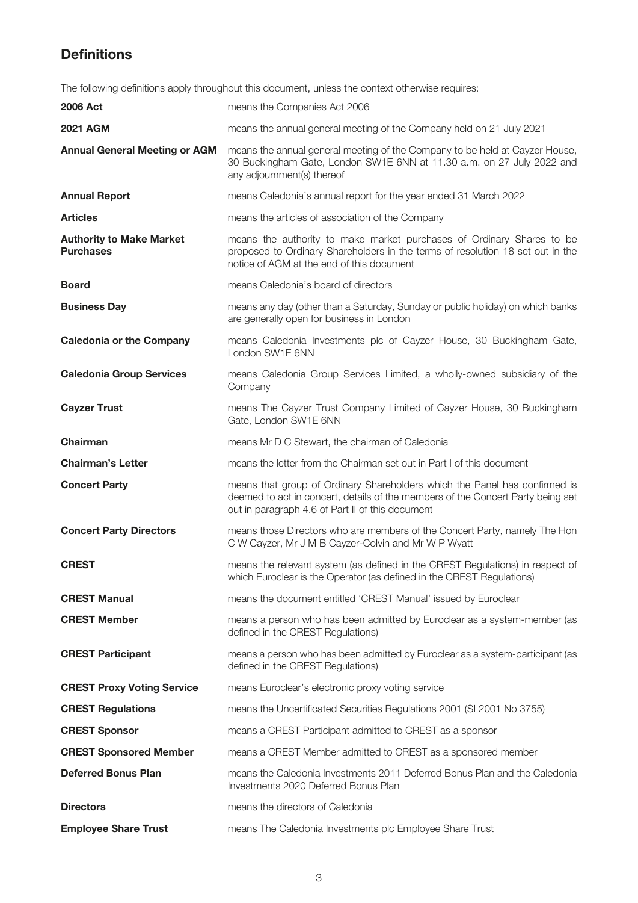# **Definitions**

The following definitions apply throughout this document, unless the context otherwise requires:

| <b>2006 Act</b>                                     | means the Companies Act 2006                                                                                                                                                                                      |
|-----------------------------------------------------|-------------------------------------------------------------------------------------------------------------------------------------------------------------------------------------------------------------------|
| <b>2021 AGM</b>                                     | means the annual general meeting of the Company held on 21 July 2021                                                                                                                                              |
| <b>Annual General Meeting or AGM</b>                | means the annual general meeting of the Company to be held at Cayzer House,<br>30 Buckingham Gate, London SW1E 6NN at 11.30 a.m. on 27 July 2022 and<br>any adjournment(s) thereof                                |
| <b>Annual Report</b>                                | means Caledonia's annual report for the year ended 31 March 2022                                                                                                                                                  |
| <b>Articles</b>                                     | means the articles of association of the Company                                                                                                                                                                  |
| <b>Authority to Make Market</b><br><b>Purchases</b> | means the authority to make market purchases of Ordinary Shares to be<br>proposed to Ordinary Shareholders in the terms of resolution 18 set out in the<br>notice of AGM at the end of this document              |
| <b>Board</b>                                        | means Caledonia's board of directors                                                                                                                                                                              |
| <b>Business Day</b>                                 | means any day (other than a Saturday, Sunday or public holiday) on which banks<br>are generally open for business in London                                                                                       |
| <b>Caledonia or the Company</b>                     | means Caledonia Investments plc of Cayzer House, 30 Buckingham Gate,<br>London SW1E 6NN                                                                                                                           |
| <b>Caledonia Group Services</b>                     | means Caledonia Group Services Limited, a wholly-owned subsidiary of the<br>Company                                                                                                                               |
| <b>Cayzer Trust</b>                                 | means The Cayzer Trust Company Limited of Cayzer House, 30 Buckingham<br>Gate, London SW1E 6NN                                                                                                                    |
| Chairman                                            | means Mr D C Stewart, the chairman of Caledonia                                                                                                                                                                   |
| <b>Chairman's Letter</b>                            | means the letter from the Chairman set out in Part I of this document                                                                                                                                             |
| <b>Concert Party</b>                                | means that group of Ordinary Shareholders which the Panel has confirmed is<br>deemed to act in concert, details of the members of the Concert Party being set<br>out in paragraph 4.6 of Part II of this document |
| <b>Concert Party Directors</b>                      | means those Directors who are members of the Concert Party, namely The Hon<br>C W Cayzer, Mr J M B Cayzer-Colvin and Mr W P Wyatt                                                                                 |
| <b>CREST</b>                                        | means the relevant system (as defined in the CREST Regulations) in respect of<br>which Euroclear is the Operator (as defined in the CREST Regulations)                                                            |
| <b>CREST Manual</b>                                 | means the document entitled 'CREST Manual' issued by Euroclear                                                                                                                                                    |
| <b>CREST Member</b>                                 | means a person who has been admitted by Euroclear as a system-member (as<br>defined in the CREST Regulations)                                                                                                     |
| <b>CREST Participant</b>                            | means a person who has been admitted by Euroclear as a system-participant (as<br>defined in the CREST Regulations)                                                                                                |
| <b>CREST Proxy Voting Service</b>                   | means Euroclear's electronic proxy voting service                                                                                                                                                                 |
| <b>CREST Regulations</b>                            | means the Uncertificated Securities Regulations 2001 (SI 2001 No 3755)                                                                                                                                            |
| <b>CREST Sponsor</b>                                | means a CREST Participant admitted to CREST as a sponsor                                                                                                                                                          |
| <b>CREST Sponsored Member</b>                       | means a CREST Member admitted to CREST as a sponsored member                                                                                                                                                      |
| <b>Deferred Bonus Plan</b>                          | means the Caledonia Investments 2011 Deferred Bonus Plan and the Caledonia<br>Investments 2020 Deferred Bonus Plan                                                                                                |
| <b>Directors</b>                                    | means the directors of Caledonia                                                                                                                                                                                  |
| <b>Employee Share Trust</b>                         | means The Caledonia Investments plc Employee Share Trust                                                                                                                                                          |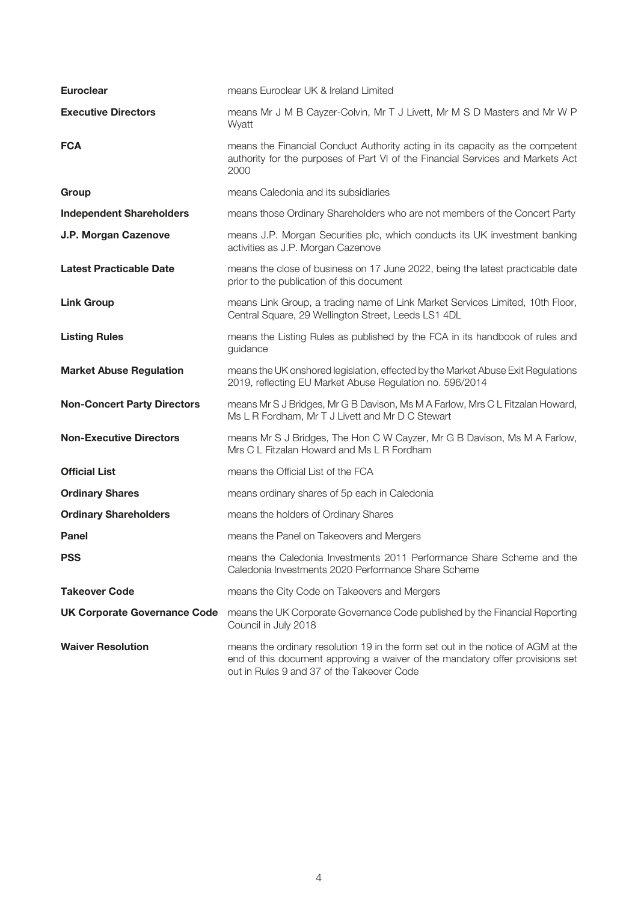| <b>Euroclear</b>                    | means Euroclear UK & Ireland Limited                                                                                                                                                                            |
|-------------------------------------|-----------------------------------------------------------------------------------------------------------------------------------------------------------------------------------------------------------------|
| <b>Executive Directors</b>          | means Mr J M B Cayzer-Colvin, Mr T J Livett, Mr M S D Masters and Mr W P<br>Wyatt                                                                                                                               |
| <b>FCA</b>                          | means the Financial Conduct Authority acting in its capacity as the competent<br>authority for the purposes of Part VI of the Financial Services and Markets Act<br>2000                                        |
| Group                               | means Caledonia and its subsidiaries                                                                                                                                                                            |
| <b>Independent Shareholders</b>     | means those Ordinary Shareholders who are not members of the Concert Party                                                                                                                                      |
| J.P. Morgan Cazenove                | means J.P. Morgan Securities plc, which conducts its UK investment banking<br>activities as J.P. Morgan Cazenove                                                                                                |
| <b>Latest Practicable Date</b>      | means the close of business on 17 June 2022, being the latest practicable date<br>prior to the publication of this document                                                                                     |
| <b>Link Group</b>                   | means Link Group, a trading name of Link Market Services Limited, 10th Floor,<br>Central Square, 29 Wellington Street, Leeds LS1 4DL                                                                            |
| <b>Listing Rules</b>                | means the Listing Rules as published by the FCA in its handbook of rules and<br>guidance                                                                                                                        |
| <b>Market Abuse Regulation</b>      | means the UK onshored legislation, effected by the Market Abuse Exit Regulations<br>2019, reflecting EU Market Abuse Regulation no. 596/2014                                                                    |
| <b>Non-Concert Party Directors</b>  | means Mr S J Bridges, Mr G B Davison, Ms M A Farlow, Mrs C L Fitzalan Howard,<br>Ms L R Fordham, Mr T J Livett and Mr D C Stewart                                                                               |
| <b>Non-Executive Directors</b>      | means Mr S J Bridges, The Hon C W Cayzer, Mr G B Davison, Ms M A Farlow,<br>Mrs C L Fitzalan Howard and Ms L R Fordham                                                                                          |
| <b>Official List</b>                | means the Official List of the FCA                                                                                                                                                                              |
| <b>Ordinary Shares</b>              | means ordinary shares of 5p each in Caledonia                                                                                                                                                                   |
| <b>Ordinary Shareholders</b>        | means the holders of Ordinary Shares                                                                                                                                                                            |
| <b>Panel</b>                        | means the Panel on Takeovers and Mergers                                                                                                                                                                        |
| <b>PSS</b>                          | means the Caledonia Investments 2011 Performance Share Scheme and the<br>Caledonia Investments 2020 Performance Share Scheme                                                                                    |
| <b>Takeover Code</b>                | means the City Code on Takeovers and Mergers                                                                                                                                                                    |
| <b>UK Corporate Governance Code</b> | means the UK Corporate Governance Code published by the Financial Reporting<br>Council in July 2018                                                                                                             |
| <b>Waiver Resolution</b>            | means the ordinary resolution 19 in the form set out in the notice of AGM at the<br>end of this document approving a waiver of the mandatory offer provisions set<br>out in Rules 9 and 37 of the Takeover Code |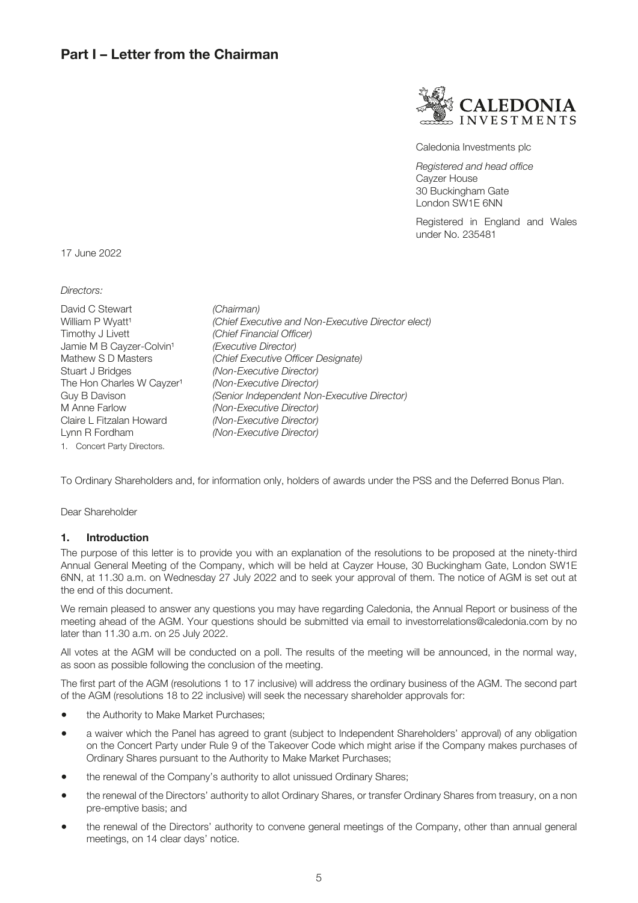### **Part I – Letter from the Chairman**



Caledonia Investments plc

*Registered and head office* Cayzer House 30 Buckingham Gate London SW1E 6NN

Registered in England and Wales under No. 235481

17 June 2022

*Directors:*

| David C Stewart                       | (Chairman)                                         |
|---------------------------------------|----------------------------------------------------|
| William P Wyatt <sup>1</sup>          | (Chief Executive and Non-Executive Director elect) |
| Timothy J Livett                      | (Chief Financial Officer)                          |
| Jamie M B Cayzer-Colvin <sup>1</sup>  | (Executive Director)                               |
| Mathew S D Masters                    | (Chief Executive Officer Designate)                |
| Stuart J Bridges                      | (Non-Executive Director)                           |
| The Hon Charles W Cayzer <sup>1</sup> | (Non-Executive Director)                           |
| Guy B Davison                         | (Senior Independent Non-Executive Director)        |
| M Anne Farlow                         | (Non-Executive Director)                           |
| Claire L Fitzalan Howard              | (Non-Executive Director)                           |
| Lynn R Fordham                        | (Non-Executive Director)                           |
| 1. Concert Party Directors.           |                                                    |

To Ordinary Shareholders and, for information only, holders of awards under the PSS and the Deferred Bonus Plan.

Dear Shareholder

#### **1. Introduction**

The purpose of this letter is to provide you with an explanation of the resolutions to be proposed at the ninety-third Annual General Meeting of the Company, which will be held at Cayzer House, 30 Buckingham Gate, London SW1E 6NN, at 11.30 a.m. on Wednesday 27 July 2022 and to seek your approval of them. The notice of AGM is set out at the end of this document.

We remain pleased to answer any questions you may have regarding Caledonia, the Annual Report or business of the meeting ahead of the AGM. Your questions should be submitted via email to investorrelations@caledonia.com by no later than 11.30 a.m. on 25 July 2022.

All votes at the AGM will be conducted on a poll. The results of the meeting will be announced, in the normal way, as soon as possible following the conclusion of the meeting.

The first part of the AGM (resolutions 1 to 17 inclusive) will address the ordinary business of the AGM. The second part of the AGM (resolutions 18 to 22 inclusive) will seek the necessary shareholder approvals for:

- the Authority to Make Market Purchases:
- a waiver which the Panel has agreed to grant (subject to Independent Shareholders' approval) of any obligation on the Concert Party under Rule 9 of the Takeover Code which might arise if the Company makes purchases of Ordinary Shares pursuant to the Authority to Make Market Purchases;
- the renewal of the Company's authority to allot unissued Ordinary Shares;
- the renewal of the Directors' authority to allot Ordinary Shares, or transfer Ordinary Shares from treasury, on a non pre-emptive basis; and
- the renewal of the Directors' authority to convene general meetings of the Company, other than annual general meetings, on 14 clear days' notice.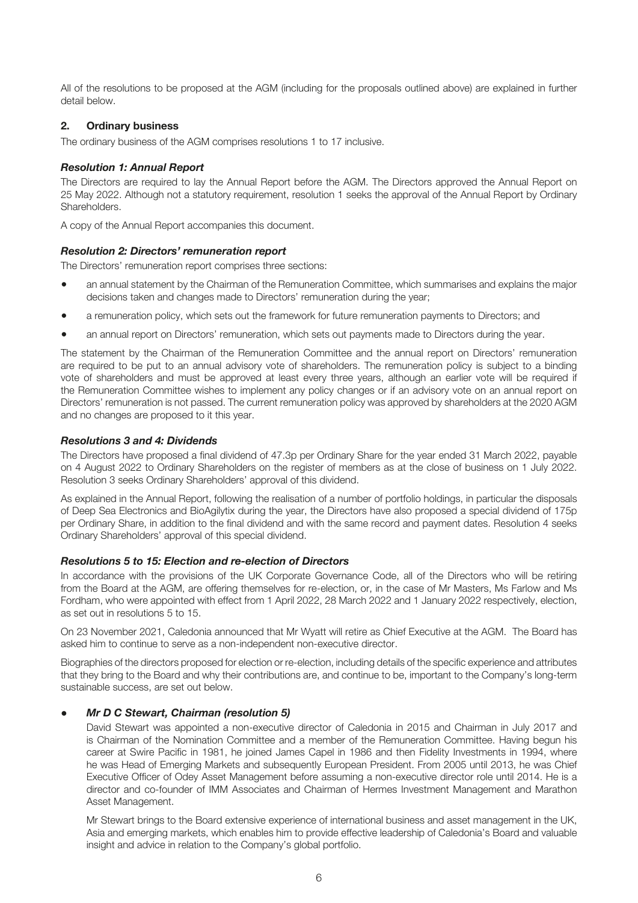All of the resolutions to be proposed at the AGM (including for the proposals outlined above) are explained in further detail below.

#### **2. Ordinary business**

The ordinary business of the AGM comprises resolutions 1 to 17 inclusive.

#### *Resolution 1: Annual Report*

The Directors are required to lay the Annual Report before the AGM. The Directors approved the Annual Report on 25 May 2022. Although not a statutory requirement, resolution 1 seeks the approval of the Annual Report by Ordinary Shareholders.

A copy of the Annual Report accompanies this document.

#### *Resolution 2: Directors' remuneration report*

The Directors' remuneration report comprises three sections:

- an annual statement by the Chairman of the Remuneration Committee, which summarises and explains the major decisions taken and changes made to Directors' remuneration during the year;
- a remuneration policy, which sets out the framework for future remuneration payments to Directors; and
- an annual report on Directors' remuneration, which sets out payments made to Directors during the year.

The statement by the Chairman of the Remuneration Committee and the annual report on Directors' remuneration are required to be put to an annual advisory vote of shareholders. The remuneration policy is subject to a binding vote of shareholders and must be approved at least every three years, although an earlier vote will be required if the Remuneration Committee wishes to implement any policy changes or if an advisory vote on an annual report on Directors' remuneration is not passed. The current remuneration policy was approved by shareholders at the 2020 AGM and no changes are proposed to it this year.

#### *Resolutions 3 and 4: Dividends*

The Directors have proposed a final dividend of 47.3p per Ordinary Share for the year ended 31 March 2022, payable on 4 August 2022 to Ordinary Shareholders on the register of members as at the close of business on 1 July 2022. Resolution 3 seeks Ordinary Shareholders' approval of this dividend.

As explained in the Annual Report, following the realisation of a number of portfolio holdings, in particular the disposals of Deep Sea Electronics and BioAgilytix during the year, the Directors have also proposed a special dividend of 175p per Ordinary Share, in addition to the final dividend and with the same record and payment dates. Resolution 4 seeks Ordinary Shareholders' approval of this special dividend.

#### *Resolutions 5 to 15: Election and re-election of Directors*

In accordance with the provisions of the UK Corporate Governance Code, all of the Directors who will be retiring from the Board at the AGM, are offering themselves for re-election, or, in the case of Mr Masters, Ms Farlow and Ms Fordham, who were appointed with effect from 1 April 2022, 28 March 2022 and 1 January 2022 respectively, election, as set out in resolutions 5 to 15.

On 23 November 2021, Caledonia announced that Mr Wyatt will retire as Chief Executive at the AGM. The Board has asked him to continue to serve as a non-independent non-executive director.

Biographies of the directors proposed for election or re-election, including details of the specific experience and attributes that they bring to the Board and why their contributions are, and continue to be, important to the Company's long-term sustainable success, are set out below.

#### ● *Mr D C Stewart, Chairman (resolution 5)*

David Stewart was appointed a non-executive director of Caledonia in 2015 and Chairman in July 2017 and is Chairman of the Nomination Committee and a member of the Remuneration Committee. Having begun his career at Swire Pacific in 1981, he joined James Capel in 1986 and then Fidelity Investments in 1994, where he was Head of Emerging Markets and subsequently European President. From 2005 until 2013, he was Chief Executive Officer of Odey Asset Management before assuming a non-executive director role until 2014. He is a director and co-founder of IMM Associates and Chairman of Hermes Investment Management and Marathon Asset Management.

Mr Stewart brings to the Board extensive experience of international business and asset management in the UK, Asia and emerging markets, which enables him to provide effective leadership of Caledonia's Board and valuable insight and advice in relation to the Company's global portfolio.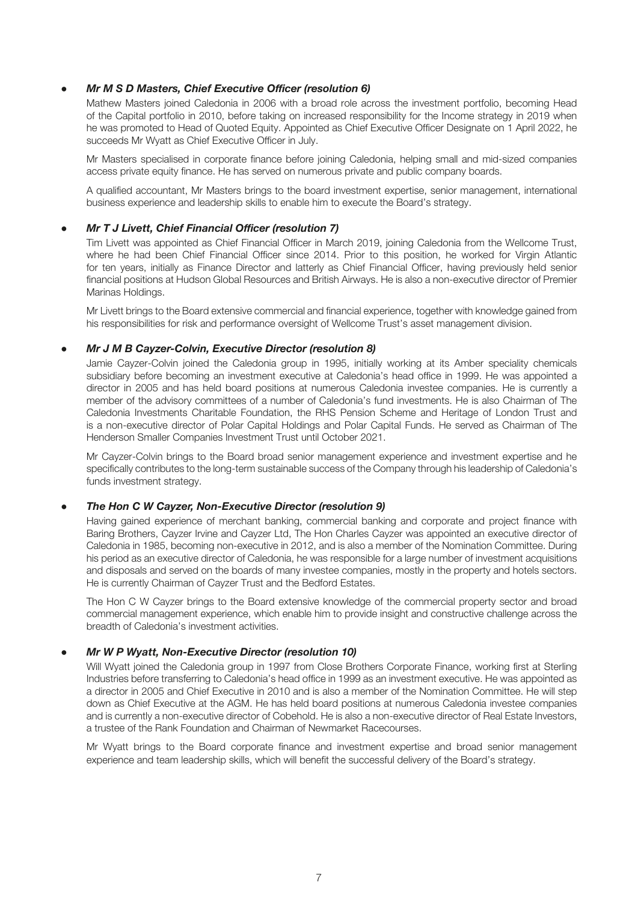#### *Mr M S D Masters, Chief Executive Officer (resolution 6)*

Mathew Masters joined Caledonia in 2006 with a broad role across the investment portfolio, becoming Head of the Capital portfolio in 2010, before taking on increased responsibility for the Income strategy in 2019 when he was promoted to Head of Quoted Equity. Appointed as Chief Executive Officer Designate on 1 April 2022, he succeeds Mr Wyatt as Chief Executive Officer in July.

Mr Masters specialised in corporate finance before joining Caledonia, helping small and mid-sized companies access private equity finance. He has served on numerous private and public company boards.

A qualified accountant, Mr Masters brings to the board investment expertise, senior management, international business experience and leadership skills to enable him to execute the Board's strategy.

#### ● *Mr T J Livett, Chief Financial Officer (resolution 7)*

Tim Livett was appointed as Chief Financial Officer in March 2019, joining Caledonia from the Wellcome Trust, where he had been Chief Financial Officer since 2014. Prior to this position, he worked for Virgin Atlantic for ten years, initially as Finance Director and latterly as Chief Financial Officer, having previously held senior financial positions at Hudson Global Resources and British Airways. He is also a non-executive director of Premier Marinas Holdings.

Mr Livett brings to the Board extensive commercial and financial experience, together with knowledge gained from his responsibilities for risk and performance oversight of Wellcome Trust's asset management division.

#### *Mr J M B Cayzer-Colvin, Executive Director (resolution 8)*

Jamie Cayzer-Colvin joined the Caledonia group in 1995, initially working at its Amber speciality chemicals subsidiary before becoming an investment executive at Caledonia's head office in 1999. He was appointed a director in 2005 and has held board positions at numerous Caledonia investee companies. He is currently a member of the advisory committees of a number of Caledonia's fund investments. He is also Chairman of The Caledonia Investments Charitable Foundation, the RHS Pension Scheme and Heritage of London Trust and is a non-executive director of Polar Capital Holdings and Polar Capital Funds. He served as Chairman of The Henderson Smaller Companies Investment Trust until October 2021.

Mr Cayzer-Colvin brings to the Board broad senior management experience and investment expertise and he specifically contributes to the long-term sustainable success of the Company through his leadership of Caledonia's funds investment strategy.

#### ● *The Hon C W Cayzer, Non-Executive Director (resolution 9)*

Having gained experience of merchant banking, commercial banking and corporate and project finance with Baring Brothers, Cayzer Irvine and Cayzer Ltd, The Hon Charles Cayzer was appointed an executive director of Caledonia in 1985, becoming non-executive in 2012, and is also a member of the Nomination Committee. During his period as an executive director of Caledonia, he was responsible for a large number of investment acquisitions and disposals and served on the boards of many investee companies, mostly in the property and hotels sectors. He is currently Chairman of Cayzer Trust and the Bedford Estates.

The Hon C W Cayzer brings to the Board extensive knowledge of the commercial property sector and broad commercial management experience, which enable him to provide insight and constructive challenge across the breadth of Caledonia's investment activities.

#### *Mr W P Wyatt, Non-Executive Director (resolution 10)*

Will Wyatt joined the Caledonia group in 1997 from Close Brothers Corporate Finance, working first at Sterling Industries before transferring to Caledonia's head office in 1999 as an investment executive. He was appointed as a director in 2005 and Chief Executive in 2010 and is also a member of the Nomination Committee. He will step down as Chief Executive at the AGM. He has held board positions at numerous Caledonia investee companies and is currently a non-executive director of Cobehold. He is also a non-executive director of Real Estate Investors, a trustee of the Rank Foundation and Chairman of Newmarket Racecourses.

Mr Wyatt brings to the Board corporate finance and investment expertise and broad senior management experience and team leadership skills, which will benefit the successful delivery of the Board's strategy.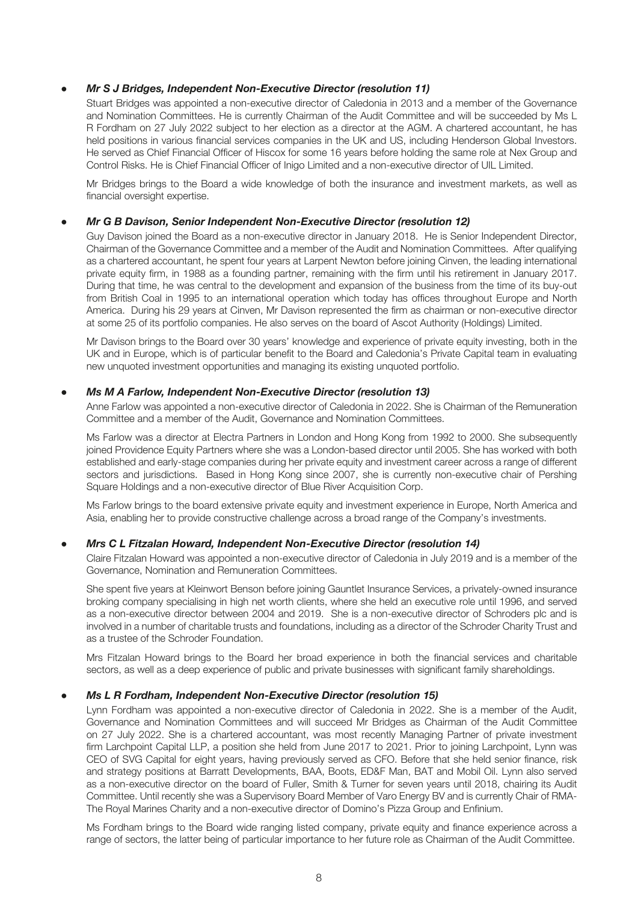#### *Mr S J Bridges, Independent Non-Executive Director (resolution 11)*

Stuart Bridges was appointed a non-executive director of Caledonia in 2013 and a member of the Governance and Nomination Committees. He is currently Chairman of the Audit Committee and will be succeeded by Ms L R Fordham on 27 July 2022 subject to her election as a director at the AGM. A chartered accountant, he has held positions in various financial services companies in the UK and US, including Henderson Global Investors. He served as Chief Financial Officer of Hiscox for some 16 years before holding the same role at Nex Group and Control Risks. He is Chief Financial Officer of Inigo Limited and a non-executive director of UIL Limited.

Mr Bridges brings to the Board a wide knowledge of both the insurance and investment markets, as well as financial oversight expertise.

#### ● *Mr G B Davison, Senior Independent Non-Executive Director (resolution 12)*

Guy Davison joined the Board as a non-executive director in January 2018. He is Senior Independent Director, Chairman of the Governance Committee and a member of the Audit and Nomination Committees. After qualifying as a chartered accountant, he spent four years at Larpent Newton before joining Cinven, the leading international private equity firm, in 1988 as a founding partner, remaining with the firm until his retirement in January 2017. During that time, he was central to the development and expansion of the business from the time of its buy-out from British Coal in 1995 to an international operation which today has offices throughout Europe and North America. During his 29 years at Cinven, Mr Davison represented the firm as chairman or non-executive director at some 25 of its portfolio companies. He also serves on the board of Ascot Authority (Holdings) Limited.

Mr Davison brings to the Board over 30 years' knowledge and experience of private equity investing, both in the UK and in Europe, which is of particular benefit to the Board and Caledonia's Private Capital team in evaluating new unquoted investment opportunities and managing its existing unquoted portfolio.

#### **Ms M A Farlow, Independent Non-Executive Director (resolution 13)**

Anne Farlow was appointed a non-executive director of Caledonia in 2022. She is Chairman of the Remuneration Committee and a member of the Audit, Governance and Nomination Committees.

Ms Farlow was a director at Electra Partners in London and Hong Kong from 1992 to 2000. She subsequently joined Providence Equity Partners where she was a London-based director until 2005. She has worked with both established and early-stage companies during her private equity and investment career across a range of different sectors and jurisdictions. Based in Hong Kong since 2007, she is currently non-executive chair of Pershing Square Holdings and a non-executive director of Blue River Acquisition Corp.

Ms Farlow brings to the board extensive private equity and investment experience in Europe, North America and Asia, enabling her to provide constructive challenge across a broad range of the Company's investments.

#### **Mrs C L Fitzalan Howard, Independent Non-Executive Director (resolution 14)**

Claire Fitzalan Howard was appointed a non-executive director of Caledonia in July 2019 and is a member of the Governance, Nomination and Remuneration Committees.

She spent five years at Kleinwort Benson before joining Gauntlet Insurance Services, a privately-owned insurance broking company specialising in high net worth clients, where she held an executive role until 1996, and served as a non-executive director between 2004 and 2019. She is a non-executive director of Schroders plc and is involved in a number of charitable trusts and foundations, including as a director of the Schroder Charity Trust and as a trustee of the Schroder Foundation.

Mrs Fitzalan Howard brings to the Board her broad experience in both the financial services and charitable sectors, as well as a deep experience of public and private businesses with significant family shareholdings.

#### ● *Ms L R Fordham, Independent Non-Executive Director (resolution 15)*

Lynn Fordham was appointed a non-executive director of Caledonia in 2022. She is a member of the Audit, Governance and Nomination Committees and will succeed Mr Bridges as Chairman of the Audit Committee on 27 July 2022. She is a chartered accountant, was most recently Managing Partner of private investment firm Larchpoint Capital LLP, a position she held from June 2017 to 2021. Prior to joining Larchpoint, Lynn was CEO of SVG Capital for eight years, having previously served as CFO. Before that she held senior finance, risk and strategy positions at Barratt Developments, BAA, Boots, ED&F Man, BAT and Mobil Oil. Lynn also served as a non-executive director on the board of Fuller, Smith & Turner for seven years until 2018, chairing its Audit Committee. Until recently she was a Supervisory Board Member of Varo Energy BV and is currently Chair of RMA-The Royal Marines Charity and a non-executive director of Domino's Pizza Group and Enfinium.

Ms Fordham brings to the Board wide ranging listed company, private equity and finance experience across a range of sectors, the latter being of particular importance to her future role as Chairman of the Audit Committee.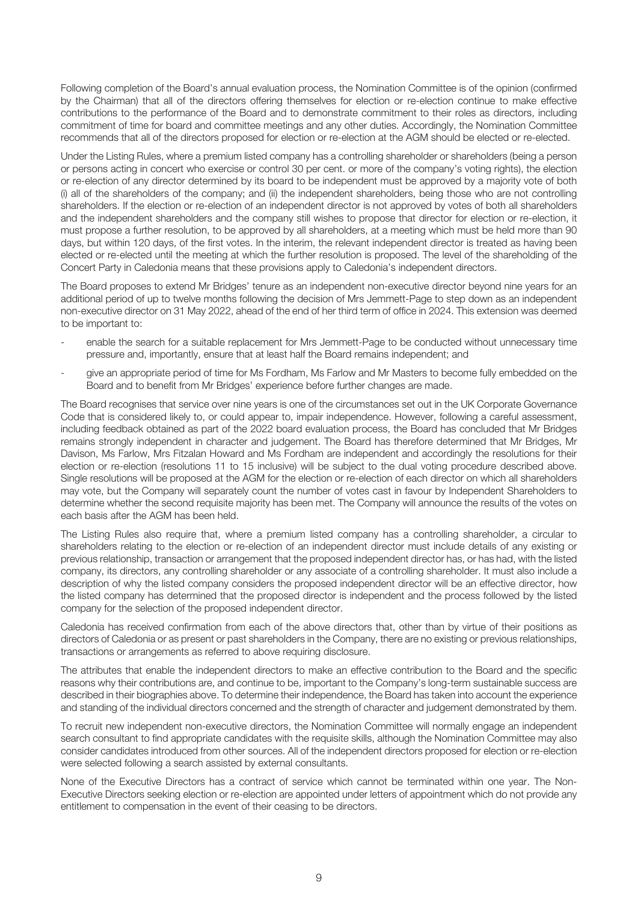Following completion of the Board's annual evaluation process, the Nomination Committee is of the opinion (confirmed by the Chairman) that all of the directors offering themselves for election or re-election continue to make effective contributions to the performance of the Board and to demonstrate commitment to their roles as directors, including commitment of time for board and committee meetings and any other duties. Accordingly, the Nomination Committee recommends that all of the directors proposed for election or re-election at the AGM should be elected or re-elected.

Under the Listing Rules, where a premium listed company has a controlling shareholder or shareholders (being a person or persons acting in concert who exercise or control 30 per cent. or more of the company's voting rights), the election or re-election of any director determined by its board to be independent must be approved by a majority vote of both (i) all of the shareholders of the company; and (ii) the independent shareholders, being those who are not controlling shareholders. If the election or re-election of an independent director is not approved by votes of both all shareholders and the independent shareholders and the company still wishes to propose that director for election or re-election, it must propose a further resolution, to be approved by all shareholders, at a meeting which must be held more than 90 days, but within 120 days, of the first votes. In the interim, the relevant independent director is treated as having been elected or re-elected until the meeting at which the further resolution is proposed. The level of the shareholding of the Concert Party in Caledonia means that these provisions apply to Caledonia's independent directors.

The Board proposes to extend Mr Bridges' tenure as an independent non-executive director beyond nine years for an additional period of up to twelve months following the decision of Mrs Jemmett-Page to step down as an independent non-executive director on 31 May 2022, ahead of the end of her third term of office in 2024. This extension was deemed to be important to:

- enable the search for a suitable replacement for Mrs Jemmett-Page to be conducted without unnecessary time pressure and, importantly, ensure that at least half the Board remains independent; and
- give an appropriate period of time for Ms Fordham, Ms Farlow and Mr Masters to become fully embedded on the Board and to benefit from Mr Bridges' experience before further changes are made.

The Board recognises that service over nine years is one of the circumstances set out in the UK Corporate Governance Code that is considered likely to, or could appear to, impair independence. However, following a careful assessment, including feedback obtained as part of the 2022 board evaluation process, the Board has concluded that Mr Bridges remains strongly independent in character and judgement. The Board has therefore determined that Mr Bridges, Mr Davison, Ms Farlow, Mrs Fitzalan Howard and Ms Fordham are independent and accordingly the resolutions for their election or re-election (resolutions 11 to 15 inclusive) will be subject to the dual voting procedure described above. Single resolutions will be proposed at the AGM for the election or re-election of each director on which all shareholders may vote, but the Company will separately count the number of votes cast in favour by Independent Shareholders to determine whether the second requisite majority has been met. The Company will announce the results of the votes on each basis after the AGM has been held.

The Listing Rules also require that, where a premium listed company has a controlling shareholder, a circular to shareholders relating to the election or re-election of an independent director must include details of any existing or previous relationship, transaction or arrangement that the proposed independent director has, or has had, with the listed company, its directors, any controlling shareholder or any associate of a controlling shareholder. It must also include a description of why the listed company considers the proposed independent director will be an effective director, how the listed company has determined that the proposed director is independent and the process followed by the listed company for the selection of the proposed independent director.

Caledonia has received confirmation from each of the above directors that, other than by virtue of their positions as directors of Caledonia or as present or past shareholders in the Company, there are no existing or previous relationships, transactions or arrangements as referred to above requiring disclosure.

The attributes that enable the independent directors to make an effective contribution to the Board and the specific reasons why their contributions are, and continue to be, important to the Company's long-term sustainable success are described in their biographies above. To determine their independence, the Board has taken into account the experience and standing of the individual directors concerned and the strength of character and judgement demonstrated by them.

To recruit new independent non-executive directors, the Nomination Committee will normally engage an independent search consultant to find appropriate candidates with the requisite skills, although the Nomination Committee may also consider candidates introduced from other sources. All of the independent directors proposed for election or re-election were selected following a search assisted by external consultants.

None of the Executive Directors has a contract of service which cannot be terminated within one year. The Non-Executive Directors seeking election or re-election are appointed under letters of appointment which do not provide any entitlement to compensation in the event of their ceasing to be directors.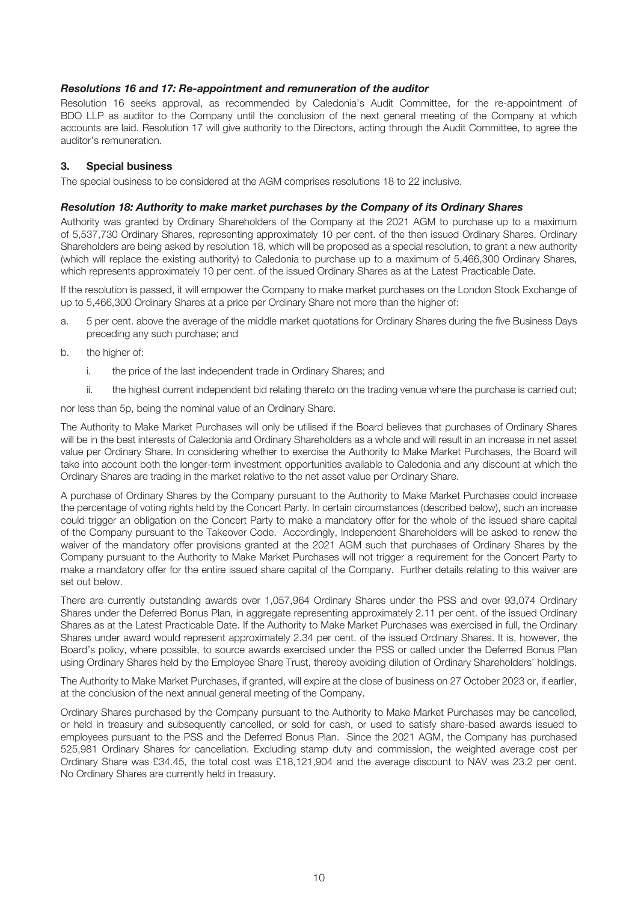#### *Resolutions 16 and 17: Re-appointment and remuneration of the auditor*

Resolution 16 seeks approval, as recommended by Caledonia's Audit Committee, for the re-appointment of BDO LLP as auditor to the Company until the conclusion of the next general meeting of the Company at which accounts are laid. Resolution 17 will give authority to the Directors, acting through the Audit Committee, to agree the auditor's remuneration.

#### **3. Special business**

The special business to be considered at the AGM comprises resolutions 18 to 22 inclusive.

#### *Resolution 18: Authority to make market purchases by the Company of its Ordinary Shares*

Authority was granted by Ordinary Shareholders of the Company at the 2021 AGM to purchase up to a maximum of 5,537,730 Ordinary Shares, representing approximately 10 per cent. of the then issued Ordinary Shares. Ordinary Shareholders are being asked by resolution 18, which will be proposed as a special resolution, to grant a new authority (which will replace the existing authority) to Caledonia to purchase up to a maximum of 5,466,300 Ordinary Shares, which represents approximately 10 per cent. of the issued Ordinary Shares as at the Latest Practicable Date.

If the resolution is passed, it will empower the Company to make market purchases on the London Stock Exchange of up to 5,466,300 Ordinary Shares at a price per Ordinary Share not more than the higher of:

- a. 5 per cent. above the average of the middle market quotations for Ordinary Shares during the five Business Days preceding any such purchase; and
- b. the higher of:
	- i. the price of the last independent trade in Ordinary Shares; and
	- ii. the highest current independent bid relating thereto on the trading venue where the purchase is carried out;

nor less than 5p, being the nominal value of an Ordinary Share.

The Authority to Make Market Purchases will only be utilised if the Board believes that purchases of Ordinary Shares will be in the best interests of Caledonia and Ordinary Shareholders as a whole and will result in an increase in net asset value per Ordinary Share. In considering whether to exercise the Authority to Make Market Purchases, the Board will take into account both the longer-term investment opportunities available to Caledonia and any discount at which the Ordinary Shares are trading in the market relative to the net asset value per Ordinary Share.

A purchase of Ordinary Shares by the Company pursuant to the Authority to Make Market Purchases could increase the percentage of voting rights held by the Concert Party. In certain circumstances (described below), such an increase could trigger an obligation on the Concert Party to make a mandatory offer for the whole of the issued share capital of the Company pursuant to the Takeover Code. Accordingly, Independent Shareholders will be asked to renew the waiver of the mandatory offer provisions granted at the 2021 AGM such that purchases of Ordinary Shares by the Company pursuant to the Authority to Make Market Purchases will not trigger a requirement for the Concert Party to make a mandatory offer for the entire issued share capital of the Company. Further details relating to this waiver are set out below.

There are currently outstanding awards over 1,057,964 Ordinary Shares under the PSS and over 93,074 Ordinary Shares under the Deferred Bonus Plan, in aggregate representing approximately 2.11 per cent. of the issued Ordinary Shares as at the Latest Practicable Date. If the Authority to Make Market Purchases was exercised in full, the Ordinary Shares under award would represent approximately 2.34 per cent. of the issued Ordinary Shares. It is, however, the Board's policy, where possible, to source awards exercised under the PSS or called under the Deferred Bonus Plan using Ordinary Shares held by the Employee Share Trust, thereby avoiding dilution of Ordinary Shareholders' holdings.

The Authority to Make Market Purchases, if granted, will expire at the close of business on 27 October 2023 or, if earlier, at the conclusion of the next annual general meeting of the Company.

Ordinary Shares purchased by the Company pursuant to the Authority to Make Market Purchases may be cancelled, or held in treasury and subsequently cancelled, or sold for cash, or used to satisfy share-based awards issued to employees pursuant to the PSS and the Deferred Bonus Plan. Since the 2021 AGM, the Company has purchased 525,981 Ordinary Shares for cancellation. Excluding stamp duty and commission, the weighted average cost per Ordinary Share was £34.45, the total cost was £18,121,904 and the average discount to NAV was 23.2 per cent. No Ordinary Shares are currently held in treasury.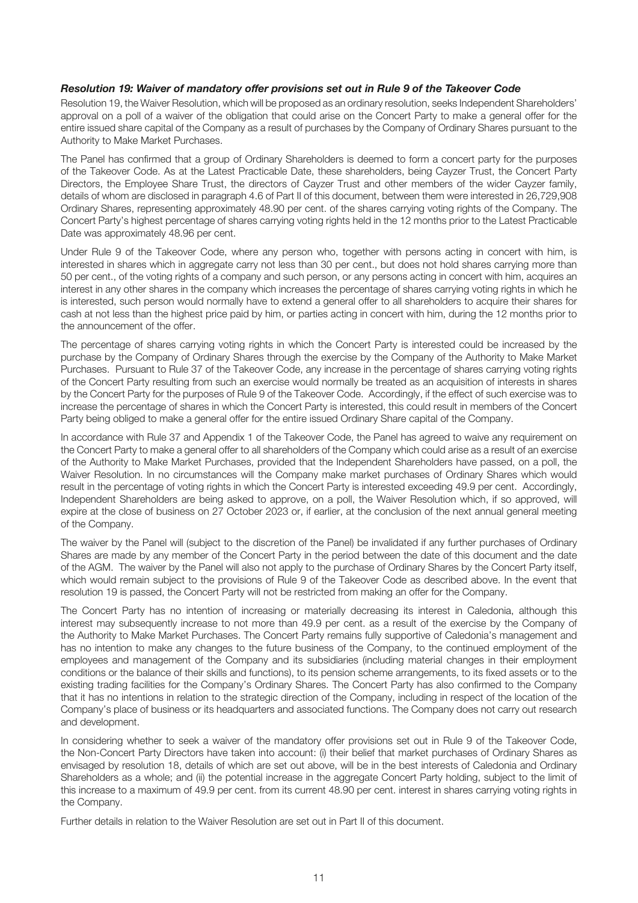#### *Resolution 19: Waiver of mandatory offer provisions set out in Rule 9 of the Takeover Code*

Resolution 19, the Waiver Resolution, which will be proposed as an ordinary resolution, seeks Independent Shareholders' approval on a poll of a waiver of the obligation that could arise on the Concert Party to make a general offer for the entire issued share capital of the Company as a result of purchases by the Company of Ordinary Shares pursuant to the Authority to Make Market Purchases.

The Panel has confirmed that a group of Ordinary Shareholders is deemed to form a concert party for the purposes of the Takeover Code. As at the Latest Practicable Date, these shareholders, being Cayzer Trust, the Concert Party Directors, the Employee Share Trust, the directors of Cayzer Trust and other members of the wider Cayzer family, details of whom are disclosed in paragraph 4.6 of Part II of this document, between them were interested in 26,729,908 Ordinary Shares, representing approximately 48.90 per cent. of the shares carrying voting rights of the Company. The Concert Party's highest percentage of shares carrying voting rights held in the 12 months prior to the Latest Practicable Date was approximately 48.96 per cent.

Under Rule 9 of the Takeover Code, where any person who, together with persons acting in concert with him, is interested in shares which in aggregate carry not less than 30 per cent., but does not hold shares carrying more than 50 per cent., of the voting rights of a company and such person, or any persons acting in concert with him, acquires an interest in any other shares in the company which increases the percentage of shares carrying voting rights in which he is interested, such person would normally have to extend a general offer to all shareholders to acquire their shares for cash at not less than the highest price paid by him, or parties acting in concert with him, during the 12 months prior to the announcement of the offer.

The percentage of shares carrying voting rights in which the Concert Party is interested could be increased by the purchase by the Company of Ordinary Shares through the exercise by the Company of the Authority to Make Market Purchases. Pursuant to Rule 37 of the Takeover Code, any increase in the percentage of shares carrying voting rights of the Concert Party resulting from such an exercise would normally be treated as an acquisition of interests in shares by the Concert Party for the purposes of Rule 9 of the Takeover Code. Accordingly, if the effect of such exercise was to increase the percentage of shares in which the Concert Party is interested, this could result in members of the Concert Party being obliged to make a general offer for the entire issued Ordinary Share capital of the Company.

In accordance with Rule 37 and Appendix 1 of the Takeover Code, the Panel has agreed to waive any requirement on the Concert Party to make a general offer to all shareholders of the Company which could arise as a result of an exercise of the Authority to Make Market Purchases, provided that the Independent Shareholders have passed, on a poll, the Waiver Resolution. In no circumstances will the Company make market purchases of Ordinary Shares which would result in the percentage of voting rights in which the Concert Party is interested exceeding 49.9 per cent. Accordingly, Independent Shareholders are being asked to approve, on a poll, the Waiver Resolution which, if so approved, will expire at the close of business on 27 October 2023 or, if earlier, at the conclusion of the next annual general meeting of the Company.

The waiver by the Panel will (subject to the discretion of the Panel) be invalidated if any further purchases of Ordinary Shares are made by any member of the Concert Party in the period between the date of this document and the date of the AGM. The waiver by the Panel will also not apply to the purchase of Ordinary Shares by the Concert Party itself, which would remain subject to the provisions of Rule 9 of the Takeover Code as described above. In the event that resolution 19 is passed, the Concert Party will not be restricted from making an offer for the Company.

The Concert Party has no intention of increasing or materially decreasing its interest in Caledonia, although this interest may subsequently increase to not more than 49.9 per cent. as a result of the exercise by the Company of the Authority to Make Market Purchases. The Concert Party remains fully supportive of Caledonia's management and has no intention to make any changes to the future business of the Company, to the continued employment of the employees and management of the Company and its subsidiaries (including material changes in their employment conditions or the balance of their skills and functions), to its pension scheme arrangements, to its fixed assets or to the existing trading facilities for the Company's Ordinary Shares. The Concert Party has also confirmed to the Company that it has no intentions in relation to the strategic direction of the Company, including in respect of the location of the Company's place of business or its headquarters and associated functions. The Company does not carry out research and development.

In considering whether to seek a waiver of the mandatory offer provisions set out in Rule 9 of the Takeover Code, the Non-Concert Party Directors have taken into account: (i) their belief that market purchases of Ordinary Shares as envisaged by resolution 18, details of which are set out above, will be in the best interests of Caledonia and Ordinary Shareholders as a whole; and (ii) the potential increase in the aggregate Concert Party holding, subject to the limit of this increase to a maximum of 49.9 per cent. from its current 48.90 per cent. interest in shares carrying voting rights in the Company.

Further details in relation to the Waiver Resolution are set out in Part II of this document.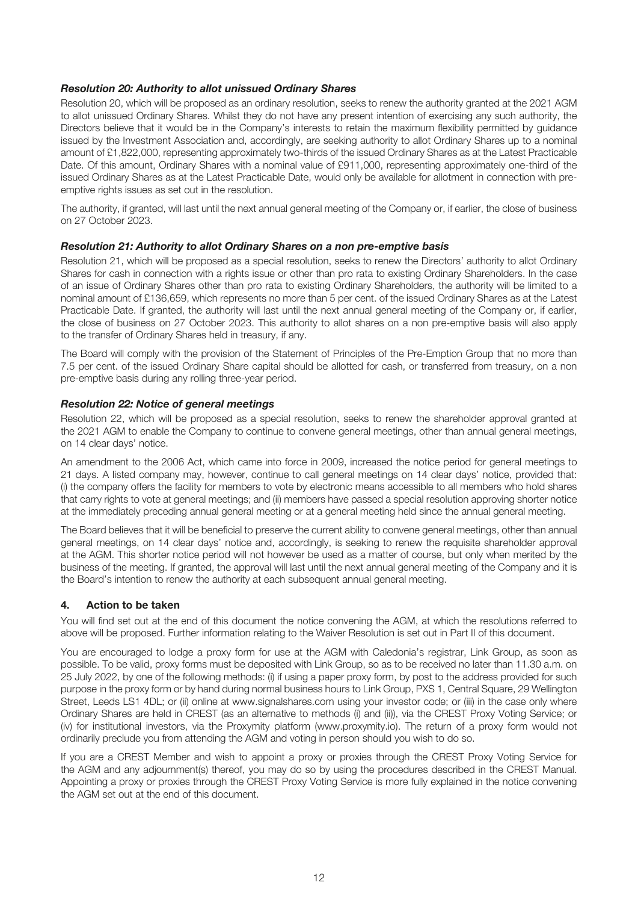#### *Resolution 20: Authority to allot unissued Ordinary Shares*

Resolution 20, which will be proposed as an ordinary resolution, seeks to renew the authority granted at the 2021 AGM to allot unissued Ordinary Shares. Whilst they do not have any present intention of exercising any such authority, the Directors believe that it would be in the Company's interests to retain the maximum flexibility permitted by guidance issued by the Investment Association and, accordingly, are seeking authority to allot Ordinary Shares up to a nominal amount of £1,822,000, representing approximately two-thirds of the issued Ordinary Shares as at the Latest Practicable Date. Of this amount, Ordinary Shares with a nominal value of £911,000, representing approximately one-third of the issued Ordinary Shares as at the Latest Practicable Date, would only be available for allotment in connection with preemptive rights issues as set out in the resolution.

The authority, if granted, will last until the next annual general meeting of the Company or, if earlier, the close of business on 27 October 2023.

#### *Resolution 21: Authority to allot Ordinary Shares on a non pre-emptive basis*

Resolution 21, which will be proposed as a special resolution, seeks to renew the Directors' authority to allot Ordinary Shares for cash in connection with a rights issue or other than pro rata to existing Ordinary Shareholders. In the case of an issue of Ordinary Shares other than pro rata to existing Ordinary Shareholders, the authority will be limited to a nominal amount of £136,659, which represents no more than 5 per cent. of the issued Ordinary Shares as at the Latest Practicable Date. If granted, the authority will last until the next annual general meeting of the Company or, if earlier, the close of business on 27 October 2023. This authority to allot shares on a non pre-emptive basis will also apply to the transfer of Ordinary Shares held in treasury, if any.

The Board will comply with the provision of the Statement of Principles of the Pre-Emption Group that no more than 7.5 per cent. of the issued Ordinary Share capital should be allotted for cash, or transferred from treasury, on a non pre-emptive basis during any rolling three-year period.

#### *Resolution 22: Notice of general meetings*

Resolution 22, which will be proposed as a special resolution, seeks to renew the shareholder approval granted at the 2021 AGM to enable the Company to continue to convene general meetings, other than annual general meetings, on 14 clear days' notice.

An amendment to the 2006 Act, which came into force in 2009, increased the notice period for general meetings to 21 days. A listed company may, however, continue to call general meetings on 14 clear days' notice, provided that: (i) the company offers the facility for members to vote by electronic means accessible to all members who hold shares that carry rights to vote at general meetings; and (ii) members have passed a special resolution approving shorter notice at the immediately preceding annual general meeting or at a general meeting held since the annual general meeting.

The Board believes that it will be beneficial to preserve the current ability to convene general meetings, other than annual general meetings, on 14 clear days' notice and, accordingly, is seeking to renew the requisite shareholder approval at the AGM. This shorter notice period will not however be used as a matter of course, but only when merited by the business of the meeting. If granted, the approval will last until the next annual general meeting of the Company and it is the Board's intention to renew the authority at each subsequent annual general meeting.

#### **4. Action to be taken**

You will find set out at the end of this document the notice convening the AGM, at which the resolutions referred to above will be proposed. Further information relating to the Waiver Resolution is set out in Part II of this document.

You are encouraged to lodge a proxy form for use at the AGM with Caledonia's registrar, Link Group, as soon as possible. To be valid, proxy forms must be deposited with Link Group, so as to be received no later than 11.30 a.m. on 25 July 2022, by one of the following methods: (i) if using a paper proxy form, by post to the address provided for such purpose in the proxy form or by hand during normal business hours to Link Group, PXS 1, Central Square, 29 Wellington Street, Leeds LS1 4DL; or (ii) online at www.signalshares.com using your investor code; or (iii) in the case only where Ordinary Shares are held in CREST (as an alternative to methods (i) and (ii)), via the CREST Proxy Voting Service; or (iv) for institutional investors, via the Proxymity platform (www.proxymity.io). The return of a proxy form would not ordinarily preclude you from attending the AGM and voting in person should you wish to do so.

If you are a CREST Member and wish to appoint a proxy or proxies through the CREST Proxy Voting Service for the AGM and any adjournment(s) thereof, you may do so by using the procedures described in the CREST Manual. Appointing a proxy or proxies through the CREST Proxy Voting Service is more fully explained in the notice convening the AGM set out at the end of this document.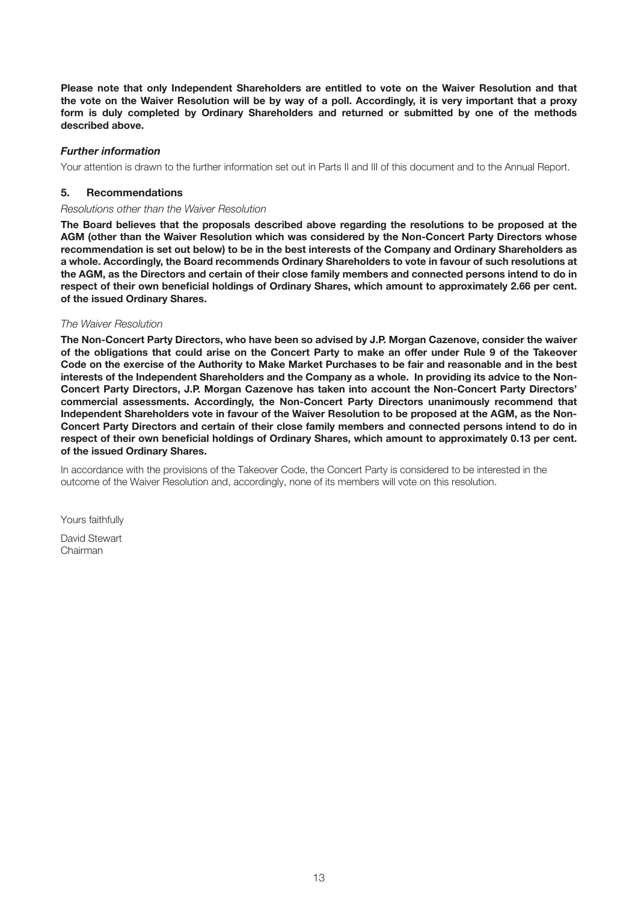**Please note that only Independent Shareholders are entitled to vote on the Waiver Resolution and that the vote on the Waiver Resolution will be by way of a poll. Accordingly, it is very important that a proxy form is duly completed by Ordinary Shareholders and returned or submitted by one of the methods described above.**

#### *Further information*

Your attention is drawn to the further information set out in Parts II and III of this document and to the Annual Report.

#### **5. Recommendations**

#### *Resolutions other than the Waiver Resolution*

**The Board believes that the proposals described above regarding the resolutions to be proposed at the AGM (other than the Waiver Resolution which was considered by the Non-Concert Party Directors whose recommendation is set out below) to be in the best interests of the Company and Ordinary Shareholders as a whole. Accordingly, the Board recommends Ordinary Shareholders to vote in favour of such resolutions at the AGM, as the Directors and certain of their close family members and connected persons intend to do in respect of their own beneficial holdings of Ordinary Shares, which amount to approximately 2.66 per cent. of the issued Ordinary Shares.**

#### *The Waiver Resolution*

**The Non-Concert Party Directors, who have been so advised by J.P. Morgan Cazenove, consider the waiver of the obligations that could arise on the Concert Party to make an offer under Rule 9 of the Takeover Code on the exercise of the Authority to Make Market Purchases to be fair and reasonable and in the best interests of the Independent Shareholders and the Company as a whole. In providing its advice to the Non-Concert Party Directors, J.P. Morgan Cazenove has taken into account the Non-Concert Party Directors' commercial assessments. Accordingly, the Non-Concert Party Directors unanimously recommend that Independent Shareholders vote in favour of the Waiver Resolution to be proposed at the AGM, as the Non-Concert Party Directors and certain of their close family members and connected persons intend to do in respect of their own beneficial holdings of Ordinary Shares, which amount to approximately 0.13 per cent. of the issued Ordinary Shares.**

In accordance with the provisions of the Takeover Code, the Concert Party is considered to be interested in the outcome of the Waiver Resolution and, accordingly, none of its members will vote on this resolution.

Yours faithfully

David Stewart Chairman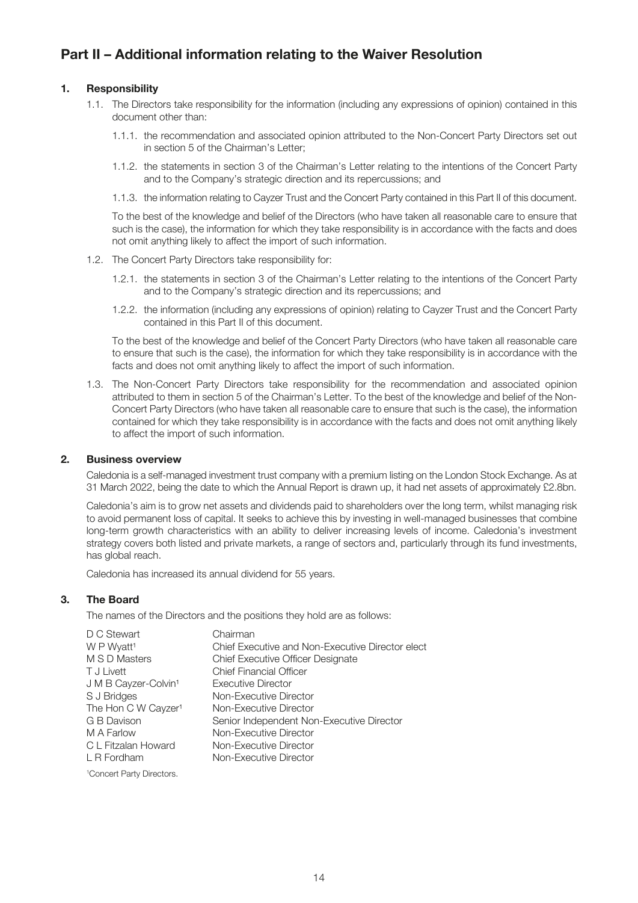# **Part II – Additional information relating to the Waiver Resolution**

#### **1. Responsibility**

- 1.1. The Directors take responsibility for the information (including any expressions of opinion) contained in this document other than:
	- 1.1.1. the recommendation and associated opinion attributed to the Non-Concert Party Directors set out in section 5 of the Chairman's Letter;
	- 1.1.2. the statements in section 3 of the Chairman's Letter relating to the intentions of the Concert Party and to the Company's strategic direction and its repercussions; and
	- 1.1.3. the information relating to Cayzer Trust and the Concert Party contained in this Part II of this document.

To the best of the knowledge and belief of the Directors (who have taken all reasonable care to ensure that such is the case), the information for which they take responsibility is in accordance with the facts and does not omit anything likely to affect the import of such information.

- 1.2. The Concert Party Directors take responsibility for:
	- 1.2.1. the statements in section 3 of the Chairman's Letter relating to the intentions of the Concert Party and to the Company's strategic direction and its repercussions; and
	- 1.2.2. the information (including any expressions of opinion) relating to Cayzer Trust and the Concert Party contained in this Part II of this document.

To the best of the knowledge and belief of the Concert Party Directors (who have taken all reasonable care to ensure that such is the case), the information for which they take responsibility is in accordance with the facts and does not omit anything likely to affect the import of such information.

1.3. The Non-Concert Party Directors take responsibility for the recommendation and associated opinion attributed to them in section 5 of the Chairman's Letter. To the best of the knowledge and belief of the Non-Concert Party Directors (who have taken all reasonable care to ensure that such is the case), the information contained for which they take responsibility is in accordance with the facts and does not omit anything likely to affect the import of such information.

#### **2. Business overview**

Caledonia is a self-managed investment trust company with a premium listing on the London Stock Exchange. As at 31 March 2022, being the date to which the Annual Report is drawn up, it had net assets of approximately £2.8bn.

Caledonia's aim is to grow net assets and dividends paid to shareholders over the long term, whilst managing risk to avoid permanent loss of capital. It seeks to achieve this by investing in well-managed businesses that combine long-term growth characteristics with an ability to deliver increasing levels of income. Caledonia's investment strategy covers both listed and private markets, a range of sectors and, particularly through its fund investments, has global reach.

Caledonia has increased its annual dividend for 55 years.

#### **3. The Board**

The names of the Directors and the positions they hold are as follows:

| D C Stewart                           | Chairman                                         |
|---------------------------------------|--------------------------------------------------|
| W P Wyatt <sup>1</sup>                | Chief Executive and Non-Executive Director elect |
| M S D Masters                         | <b>Chief Executive Officer Designate</b>         |
| T J Livett                            | <b>Chief Financial Officer</b>                   |
| J M B Cayzer-Colvin <sup>1</sup>      | Executive Director                               |
| S J Bridges                           | Non-Executive Director                           |
| The Hon C W Cayzer <sup>1</sup>       | Non-Executive Director                           |
| G B Davison                           | Senior Independent Non-Executive Director        |
| M A Farlow                            | Non-Executive Director                           |
| C L Fitzalan Howard                   | Non-Executive Director                           |
| L R Fordham                           | Non-Executive Director                           |
| <sup>1</sup> Concert Party Directors. |                                                  |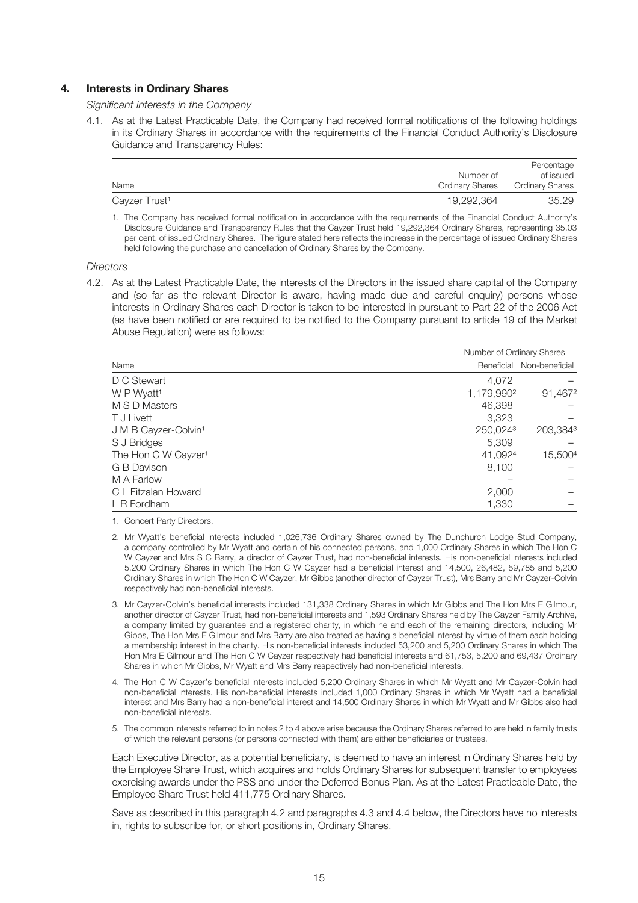#### **4. Interests in Ordinary Shares**

*Significant interests in the Company*

4.1. As at the Latest Practicable Date, the Company had received formal notifications of the following holdings in its Ordinary Shares in accordance with the requirements of the Financial Conduct Authority's Disclosure Guidance and Transparency Rules:

|                           |                 | Percentage             |
|---------------------------|-----------------|------------------------|
|                           | Number of       | of issued              |
| Name                      | Ordinary Shares | <b>Ordinary Shares</b> |
| Cayzer Trust <sup>1</sup> | 19,292,364      | 35.29                  |

1. The Company has received formal notification in accordance with the requirements of the Financial Conduct Authority's Disclosure Guidance and Transparency Rules that the Cayzer Trust held 19,292,364 Ordinary Shares, representing 35.03 per cent. of issued Ordinary Shares. The figure stated here reflects the increase in the percentage of issued Ordinary Shares held following the purchase and cancellation of Ordinary Shares by the Company.

*Directors*

4.2. As at the Latest Practicable Date, the interests of the Directors in the issued share capital of the Company and (so far as the relevant Director is aware, having made due and careful enquiry) persons whose interests in Ordinary Shares each Director is taken to be interested in pursuant to Part 22 of the 2006 Act (as have been notified or are required to be notified to the Company pursuant to article 19 of the Market Abuse Regulation) were as follows:

|                                  |                        | Number of Ordinary Shares |
|----------------------------------|------------------------|---------------------------|
| Name                             | Beneficial             | Non-beneficial            |
| D C Stewart                      | 4,072                  |                           |
| W P Wyatt <sup>1</sup>           | 1,179,990 <sup>2</sup> | 91,4672                   |
| M S D Masters                    | 46,398                 |                           |
| T J Livett                       | 3,323                  |                           |
| J M B Cayzer-Colvin <sup>1</sup> | 250,0243               | 203,3843                  |
| S J Bridges                      | 5.309                  |                           |
| The Hon C W Cayzer <sup>1</sup>  | 41,0924                | 15,5004                   |
| G B Davison                      | 8,100                  |                           |
| M A Farlow                       |                        |                           |
| C L Fitzalan Howard              | 2,000                  |                           |
| L R Fordham                      | 1,330                  |                           |

1. Concert Party Directors.

- 2. Mr Wyatt's beneficial interests included 1,026,736 Ordinary Shares owned by The Dunchurch Lodge Stud Company, a company controlled by Mr Wyatt and certain of his connected persons, and 1,000 Ordinary Shares in which The Hon C W Cayzer and Mrs S C Barry, a director of Cayzer Trust, had non-beneficial interests. His non-beneficial interests included 5,200 Ordinary Shares in which The Hon C W Cayzer had a beneficial interest and 14,500, 26,482, 59,785 and 5,200 Ordinary Shares in which The Hon C W Cayzer, Mr Gibbs (another director of Cayzer Trust), Mrs Barry and Mr Cayzer-Colvin respectively had non-beneficial interests.
- 3. Mr Cayzer-Colvin's beneficial interests included 131,338 Ordinary Shares in which Mr Gibbs and The Hon Mrs E Gilmour, another director of Cayzer Trust, had non-beneficial interests and 1,593 Ordinary Shares held by The Cayzer Family Archive, a company limited by guarantee and a registered charity, in which he and each of the remaining directors, including Mr Gibbs, The Hon Mrs E Gilmour and Mrs Barry are also treated as having a beneficial interest by virtue of them each holding a membership interest in the charity. His non-beneficial interests included 53,200 and 5,200 Ordinary Shares in which The Hon Mrs E Gilmour and The Hon C W Cayzer respectively had beneficial interests and 61,753, 5,200 and 69,437 Ordinary Shares in which Mr Gibbs, Mr Wyatt and Mrs Barry respectively had non-beneficial interests.
- 4. The Hon C W Cayzer's beneficial interests included 5,200 Ordinary Shares in which Mr Wyatt and Mr Cayzer-Colvin had non-beneficial interests. His non-beneficial interests included 1,000 Ordinary Shares in which Mr Wyatt had a beneficial interest and Mrs Barry had a non-beneficial interest and 14,500 Ordinary Shares in which Mr Wyatt and Mr Gibbs also had non-beneficial interests.
- 5. The common interests referred to in notes 2 to 4 above arise because the Ordinary Shares referred to are held in family trusts of which the relevant persons (or persons connected with them) are either beneficiaries or trustees.

Each Executive Director, as a potential beneficiary, is deemed to have an interest in Ordinary Shares held by the Employee Share Trust, which acquires and holds Ordinary Shares for subsequent transfer to employees exercising awards under the PSS and under the Deferred Bonus Plan. As at the Latest Practicable Date, the Employee Share Trust held 411,775 Ordinary Shares.

Save as described in this paragraph 4.2 and paragraphs 4.3 and 4.4 below, the Directors have no interests in, rights to subscribe for, or short positions in, Ordinary Shares.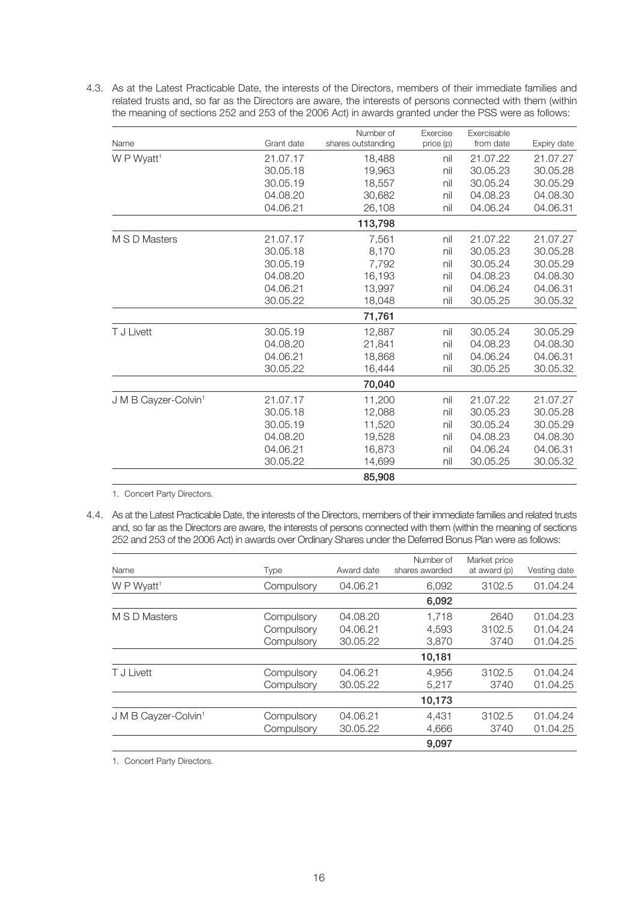4.3. As at the Latest Practicable Date, the interests of the Directors, members of their immediate families and related trusts and, so far as the Directors are aware, the interests of persons connected with them (within the meaning of sections 252 and 253 of the 2006 Act) in awards granted under the PSS were as follows:

|                                  |            | Number of          | Exercise  | Exercisable |             |
|----------------------------------|------------|--------------------|-----------|-------------|-------------|
| Name                             | Grant date | shares outstanding | price (p) | from date   | Expiry date |
| W P Wyatt <sup>1</sup>           | 21.07.17   | 18,488             | nil       | 21.07.22    | 21.07.27    |
|                                  | 30.05.18   | 19,963             | nil       | 30.05.23    | 30.05.28    |
|                                  | 30.05.19   | 18,557             | nil       | 30.05.24    | 30.05.29    |
|                                  | 04.08.20   | 30,682             | nil       | 04.08.23    | 04.08.30    |
|                                  | 04.06.21   | 26,108             | nil       | 04.06.24    | 04.06.31    |
|                                  |            | 113,798            |           |             |             |
| M S D Masters                    | 21.07.17   | 7,561              | nil       | 21.07.22    | 21.07.27    |
|                                  | 30.05.18   | 8,170              | nil       | 30.05.23    | 30.05.28    |
|                                  | 30.05.19   | 7,792              | nil       | 30.05.24    | 30.05.29    |
|                                  | 04.08.20   | 16,193             | nil       | 04.08.23    | 04.08.30    |
|                                  | 04.06.21   | 13,997             | nil       | 04.06.24    | 04.06.31    |
|                                  | 30.05.22   | 18,048             | nil       | 30.05.25    | 30.05.32    |
|                                  |            | 71,761             |           |             |             |
| T J Livett                       | 30.05.19   | 12,887             | nil       | 30.05.24    | 30.05.29    |
|                                  | 04.08.20   | 21,841             | nil       | 04.08.23    | 04.08.30    |
|                                  | 04.06.21   | 18,868             | nil       | 04.06.24    | 04.06.31    |
|                                  | 30.05.22   | 16,444             | nil       | 30.05.25    | 30.05.32    |
|                                  |            | 70,040             |           |             |             |
| J M B Cayzer-Colvin <sup>1</sup> | 21.07.17   | 11,200             | nil       | 21.07.22    | 21.07.27    |
|                                  | 30.05.18   | 12,088             | nil       | 30.05.23    | 30.05.28    |
|                                  | 30.05.19   | 11,520             | nil       | 30.05.24    | 30.05.29    |
|                                  | 04.08.20   | 19,528             | nil       | 04.08.23    | 04.08.30    |
|                                  | 04.06.21   | 16,873             | nil       | 04.06.24    | 04.06.31    |
|                                  | 30.05.22   | 14,699             | nil       | 30.05.25    | 30.05.32    |
|                                  |            | 85,908             |           |             |             |

1. Concert Party Directors.

4.4. As at the Latest Practicable Date, the interests of the Directors, members of their immediate families and related trusts and, so far as the Directors are aware, the interests of persons connected with them (within the meaning of sections 252 and 253 of the 2006 Act) in awards over Ordinary Shares under the Deferred Bonus Plan were as follows:

| Name                             | <b>Type</b> | Award date | Number of<br>shares awarded | Market price<br>at award (p) | Vesting date |
|----------------------------------|-------------|------------|-----------------------------|------------------------------|--------------|
| W P Wyatt <sup>1</sup>           | Compulsory  | 04.06.21   | 6.092                       | 3102.5                       | 01.04.24     |
|                                  |             |            | 6,092                       |                              |              |
| M S D Masters                    | Compulsory  | 04.08.20   | 1.718                       | 2640                         | 01.04.23     |
|                                  | Compulsory  | 04.06.21   | 4,593                       | 3102.5                       | 01.04.24     |
|                                  | Compulsory  | 30.05.22   | 3,870                       | 3740                         | 01.04.25     |
|                                  |             |            | 10,181                      |                              |              |
| T J Livett                       | Compulsory  | 04.06.21   | 4,956                       | 3102.5                       | 01.04.24     |
|                                  | Compulsory  | 30.05.22   | 5,217                       | 3740                         | 01.04.25     |
|                                  |             |            | 10,173                      |                              |              |
| J M B Cayzer-Colvin <sup>1</sup> | Compulsory  | 04.06.21   | 4,431                       | 3102.5                       | 01.04.24     |
|                                  | Compulsory  | 30.05.22   | 4,666                       | 3740                         | 01.04.25     |
|                                  |             |            | 9,097                       |                              |              |

1. Concert Party Directors.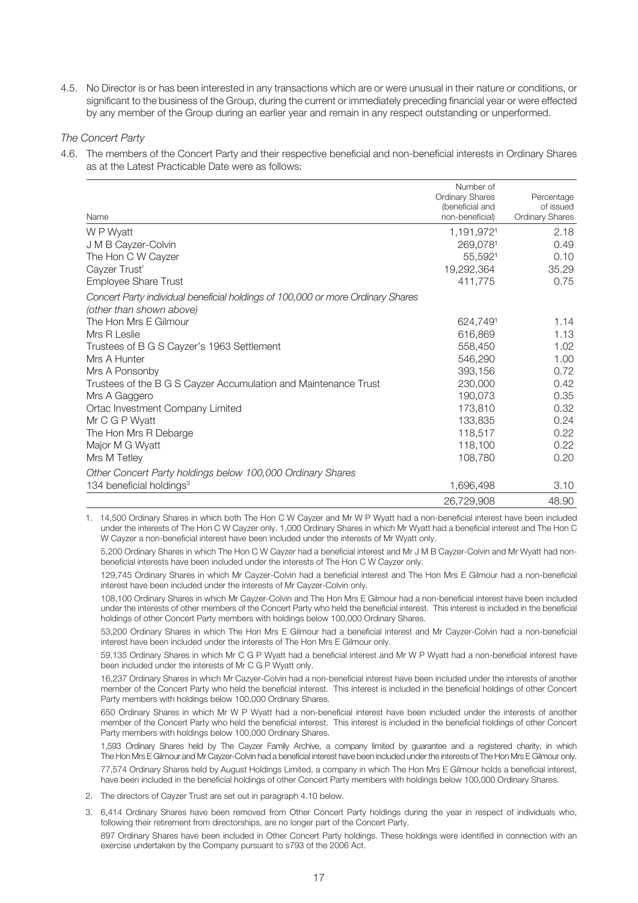4.5. No Director is or has been interested in any transactions which are or were unusual in their nature or conditions, or significant to the business of the Group, during the current or immediately preceding financial year or were effected by any member of the Group during an earlier year and remain in any respect outstanding or unperformed.

*The Concert Party*

4.6. The members of the Concert Party and their respective beneficial and non-beneficial interests in Ordinary Shares as at the Latest Practicable Date were as follows:

| Name                                                                                                        | Number of<br><b>Ordinary Shares</b><br>(beneficial and<br>non-beneficial) | Percentage<br>of issued<br><b>Ordinary Shares</b> |
|-------------------------------------------------------------------------------------------------------------|---------------------------------------------------------------------------|---------------------------------------------------|
| W P Wyatt                                                                                                   | 1,191,9721                                                                | 2.18                                              |
| J M B Cayzer-Colvin                                                                                         | 269,0781                                                                  | 0.49                                              |
| The Hon C W Cayzer                                                                                          | 55,5921                                                                   | 0.10                                              |
| Cayzer Trust <sup>2</sup>                                                                                   | 19,292,364                                                                | 35.29                                             |
| <b>Employee Share Trust</b>                                                                                 | 411,775                                                                   | 0.75                                              |
| Concert Party individual beneficial holdings of 100,000 or more Ordinary Shares<br>(other than shown above) |                                                                           |                                                   |
| The Hon Mrs E Gilmour                                                                                       | 624,7491                                                                  | 1.14                                              |
| Mrs R Leslie                                                                                                | 616,869                                                                   | 1.13                                              |
| Trustees of B G S Cayzer's 1963 Settlement                                                                  | 558,450                                                                   | 1.02                                              |
| Mrs A Hunter                                                                                                | 546,290                                                                   | 1.00                                              |
| Mrs A Ponsonby                                                                                              | 393,156                                                                   | 0.72                                              |
| Trustees of the B G S Cayzer Accumulation and Maintenance Trust                                             | 230,000                                                                   | 0.42                                              |
| Mrs A Gaggero                                                                                               | 190,073                                                                   | 0.35                                              |
| Ortac Investment Company Limited                                                                            | 173,810                                                                   | 0.32                                              |
| Mr C G P Wyatt                                                                                              | 133,835                                                                   | 0.24                                              |
| The Hon Mrs R Debarge                                                                                       | 118,517                                                                   | 0.22                                              |
| Major M G Wyatt                                                                                             | 118,100                                                                   | 0.22                                              |
| Mrs M Tetley                                                                                                | 108,780                                                                   | 0.20                                              |
| Other Concert Party holdings below 100,000 Ordinary Shares                                                  |                                                                           |                                                   |
| 134 beneficial holdings <sup>3</sup>                                                                        | 1,696,498                                                                 | 3.10                                              |
|                                                                                                             | 26,729,908                                                                | 48.90                                             |

1. 14,500 Ordinary Shares in which both The Hon C W Cayzer and Mr W P Wyatt had a non-beneficial interest have been included under the interests of The Hon C W Cayzer only. 1,000 Ordinary Shares in which Mr Wyatt had a beneficial interest and The Hon C W Cayzer a non-beneficial interest have been included under the interests of Mr Wyatt only.

5,200 Ordinary Shares in which The Hon C W Cayzer had a beneficial interest and Mr J M B Cayzer-Colvin and Mr Wyatt had nonbeneficial interests have been included under the interests of The Hon C W Cayzer only.

129,745 Ordinary Shares in which Mr Cayzer-Colvin had a beneficial interest and The Hon Mrs E Gilmour had a non-beneficial interest have been included under the interests of Mr Cayzer-Colvin only.

108,100 Ordinary Shares in which Mr Cayzer-Colvin and The Hon Mrs E Gilmour had a non-beneficial interest have been included under the interests of other members of the Concert Party who held the beneficial interest. This interest is included in the beneficial holdings of other Concert Party members with holdings below 100,000 Ordinary Shares.

53,200 Ordinary Shares in which The Hon Mrs E Gilmour had a beneficial interest and Mr Cayzer-Colvin had a non-beneficial interest have been included under the interests of The Hon Mrs E Gilmour only.

59,135 Ordinary Shares in which Mr C G P Wyatt had a beneficial interest and Mr W P Wyatt had a non-beneficial interest have been included under the interests of Mr C G P Wyatt only.

16,237 Ordinary Shares in which Mr Cazyer-Colvin had a non-beneficial interest have been included under the interests of another member of the Concert Party who held the beneficial interest. This interest is included in the beneficial holdings of other Concert Party members with holdings below 100,000 Ordinary Shares.

650 Ordinary Shares in which Mr W P Wyatt had a non-beneficial interest have been included under the interests of another member of the Concert Party who held the beneficial interest. This interest is included in the beneficial holdings of other Concert Party members with holdings below 100,000 Ordinary Shares.

1,593 Ordinary Shares held by The Cayzer Family Archive, a company limited by guarantee and a registered charity, in which The Hon Mrs E Gilmour and Mr Cayzer-Colvin had a beneficial interest have been included under the interests of The Hon Mrs E Gilmour only.

77,574 Ordinary Shares held by August Holdings Limited, a company in which The Hon Mrs E Gilmour holds a beneficial interest, have been included in the beneficial holdings of other Concert Party members with holdings below 100,000 Ordinary Shares.

- 2. The directors of Cayzer Trust are set out in paragraph 4.10 below.
- 3. 6,414 Ordinary Shares have been removed from Other Concert Party holdings during the year in respect of individuals who, following their retirement from directorships, are no longer part of the Concert Party.

897 Ordinary Shares have been included in Other Concert Party holdings. These holdings were identified in connection with an exercise undertaken by the Company pursuant to s793 of the 2006 Act.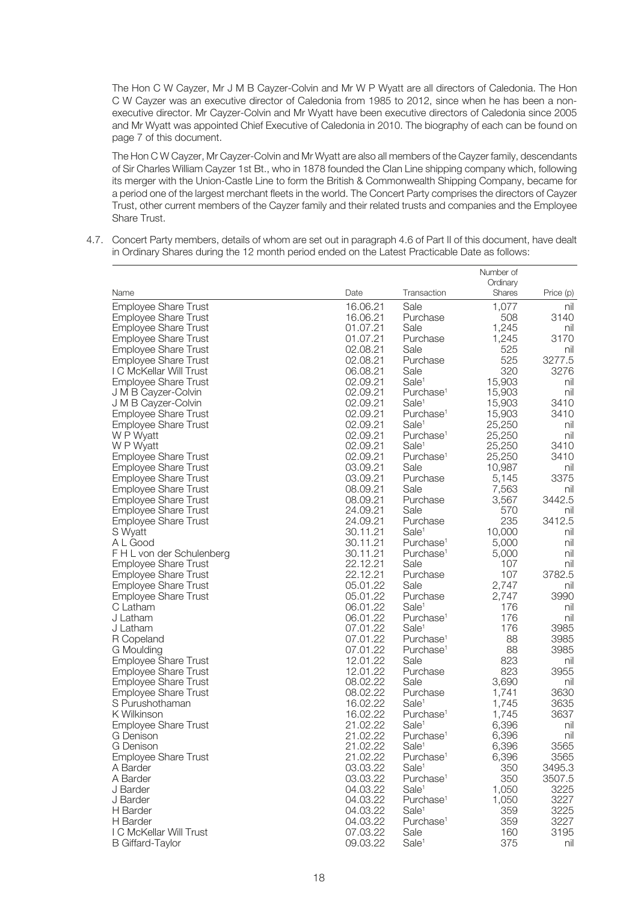The Hon C W Cayzer, Mr J M B Cayzer-Colvin and Mr W P Wyatt are all directors of Caledonia. The Hon C W Cayzer was an executive director of Caledonia from 1985 to 2012, since when he has been a nonexecutive director. Mr Cayzer-Colvin and Mr Wyatt have been executive directors of Caledonia since 2005 and Mr Wyatt was appointed Chief Executive of Caledonia in 2010. The biography of each can be found on page 7 of this document.

 The Hon C W Cayzer, Mr Cayzer-Colvin and Mr Wyatt are also all members of the Cayzer family, descendants of Sir Charles William Cayzer 1st Bt., who in 1878 founded the Clan Line shipping company which, following its merger with the Union-Castle Line to form the British & Commonwealth Shipping Company, became for a period one of the largest merchant fleets in the world. The Concert Party comprises the directors of Cayzer Trust, other current members of the Cayzer family and their related trusts and companies and the Employee Share Trust.

4.7. Concert Party members, details of whom are set out in paragraph 4.6 of Part II of this document, have dealt in Ordinary Shares during the 12 month period ended on the Latest Practicable Date as follows:

|                             |          |                       | Number of |           |
|-----------------------------|----------|-----------------------|-----------|-----------|
|                             |          |                       | Ordinary  |           |
| Name                        | Date     | Transaction           | Shares    | Price (p) |
| <b>Employee Share Trust</b> | 16.06.21 | Sale                  | 1,077     | nil       |
| <b>Employee Share Trust</b> | 16.06.21 | Purchase              | 508       | 3140      |
| <b>Employee Share Trust</b> | 01.07.21 | Sale                  | 1,245     | nil       |
| <b>Employee Share Trust</b> | 01.07.21 | Purchase              | 1,245     | 3170      |
| <b>Employee Share Trust</b> | 02.08.21 | Sale                  | 525       | nil       |
| <b>Employee Share Trust</b> | 02.08.21 | Purchase              | 525       | 3277.5    |
| I C McKellar Will Trust     | 06.08.21 | Sale                  | 320       | 3276      |
| <b>Employee Share Trust</b> | 02.09.21 | Sale <sup>1</sup>     | 15,903    | nil       |
| J M B Cayzer-Colvin         | 02.09.21 | Purchase <sup>1</sup> | 15,903    | nil       |
| J M B Cayzer-Colvin         | 02.09.21 | Sale <sup>1</sup>     | 15,903    | 3410      |
| <b>Employee Share Trust</b> | 02.09.21 | Purchase <sup>1</sup> | 15,903    | 3410      |
| <b>Employee Share Trust</b> | 02.09.21 | Sale <sup>1</sup>     | 25,250    | nil       |
| W P Wyatt                   | 02.09.21 | Purchase <sup>1</sup> | 25,250    | nil       |
| W P Wyatt                   | 02.09.21 | Sale <sup>1</sup>     | 25,250    | 3410      |
| <b>Employee Share Trust</b> | 02.09.21 | Purchase <sup>1</sup> | 25,250    | 3410      |
| <b>Employee Share Trust</b> | 03.09.21 | Sale                  | 10,987    | nil       |
| <b>Employee Share Trust</b> | 03.09.21 | Purchase              | 5,145     | 3375      |
| <b>Employee Share Trust</b> | 08.09.21 | Sale                  | 7,563     | nil       |
| <b>Employee Share Trust</b> | 08.09.21 | Purchase              | 3,567     | 3442.5    |
| <b>Employee Share Trust</b> | 24.09.21 | Sale                  | 570       | nil       |
| <b>Employee Share Trust</b> | 24.09.21 | Purchase              | 235       | 3412.5    |
| S Wyatt                     | 30.11.21 | Sale <sup>1</sup>     | 10,000    | nil       |
| A L Good                    | 30.11.21 | Purchase <sup>1</sup> | 5,000     | nil       |
| F H L von der Schulenberg   | 30.11.21 | Purchase <sup>1</sup> | 5,000     | nil       |
| <b>Employee Share Trust</b> | 22.12.21 | Sale                  | 107       | nil       |
| <b>Employee Share Trust</b> | 22.12.21 | Purchase              | 107       | 3782.5    |
| <b>Employee Share Trust</b> | 05.01.22 | Sale                  | 2,747     | nil       |
| <b>Employee Share Trust</b> | 05.01.22 | Purchase              | 2,747     | 3990      |
| C Latham                    | 06.01.22 | Sale <sup>1</sup>     | 176       | nil       |
| J Latham                    | 06.01.22 | Purchase <sup>1</sup> | 176       | nil       |
| J Latham                    | 07.01.22 | Sale <sup>1</sup>     | 176       | 3985      |
| R Copeland                  | 07.01.22 | Purchase <sup>1</sup> | 88        | 3985      |
| G Moulding                  | 07.01.22 | Purchase <sup>1</sup> | 88        | 3985      |
| <b>Employee Share Trust</b> | 12.01.22 | Sale                  | 823       | nil       |
| <b>Employee Share Trust</b> | 12.01.22 | Purchase              | 823       | 3955      |
| <b>Employee Share Trust</b> | 08.02.22 | Sale                  | 3,690     | nil       |
| <b>Employee Share Trust</b> | 08.02.22 | Purchase              | 1,741     | 3630      |
| S Purushothaman             | 16.02.22 | Sale <sup>1</sup>     | 1,745     | 3635      |
| K Wilkinson                 | 16.02.22 | Purchase <sup>1</sup> | 1,745     | 3637      |
| <b>Employee Share Trust</b> | 21.02.22 | Sale <sup>1</sup>     | 6,396     | nil       |
| G Denison                   | 21.02.22 | Purchase <sup>1</sup> | 6,396     | nil       |
| G Denison                   | 21.02.22 | Sale <sup>1</sup>     | 6,396     | 3565      |
| <b>Employee Share Trust</b> | 21.02.22 | Purchase <sup>1</sup> | 6,396     | 3565      |
| A Barder                    | 03.03.22 | Sale <sup>1</sup>     | 350       | 3495.3    |
| A Barder                    | 03.03.22 | Purchase <sup>1</sup> | 350       | 3507.5    |
| J Barder                    | 04.03.22 | Sale <sup>1</sup>     | 1,050     | 3225      |
| J Barder                    | 04.03.22 | Purchase <sup>1</sup> | 1,050     | 3227      |
| H Barder                    | 04.03.22 | Sale <sup>1</sup>     | 359       | 3225      |
| H Barder                    | 04.03.22 | Purchase <sup>1</sup> | 359       | 3227      |
| I C McKellar Will Trust     | 07.03.22 | Sale                  | 160       | 3195      |
| <b>B</b> Giffard-Taylor     | 09.03.22 | Sale <sup>1</sup>     | 375       | nil       |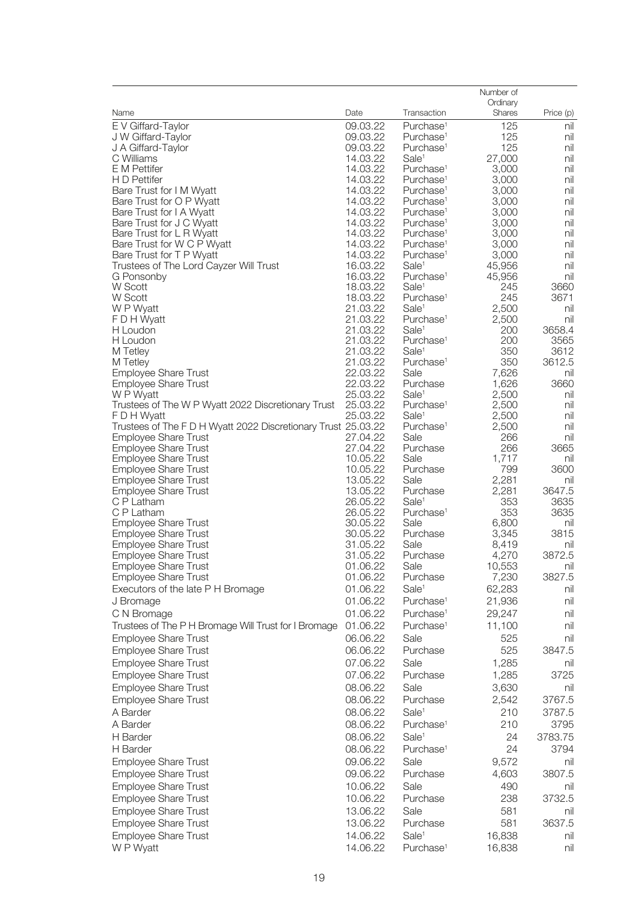| Date<br>Shares<br>Price (p)<br>Name<br>Transaction<br>E V Giffard-Taylor<br>09.03.22<br>Purchase <sup>1</sup><br>125<br>nil<br>09.03.22<br>125<br>J W Giffard-Taylor<br>Purchase <sup>1</sup><br>nil<br>09.03.22<br>125<br>J A Giffard-Taylor<br>Purchase <sup>1</sup><br>nil<br>Sale <sup>1</sup><br>nil<br>C Williams<br>14.03.22<br>27,000<br>E M Pettifer<br>14.03.22<br>3,000<br>Purchase <sup>1</sup><br>nil<br>14.03.22<br>H D Pettifer<br>Purchase <sup>1</sup><br>3,000<br>nil<br>Bare Trust for I M Wyatt<br>14.03.22<br>nil<br>Purchase <sup>1</sup><br>3,000<br>14.03.22<br>3,000<br>Bare Trust for O P Wyatt<br>Purchase <sup>1</sup><br>nil<br>14.03.22<br>Bare Trust for I A Wyatt<br>Purchase <sup>1</sup><br>3,000<br>nil<br>nil<br>Bare Trust for J C Wyatt<br>14.03.22<br>Purchase <sup>1</sup><br>3,000<br>Bare Trust for L R Wyatt<br>14.03.22<br>Purchase <sup>1</sup><br>3,000<br>nil<br>Bare Trust for W C P Wyatt<br>14.03.22<br>Purchase <sup>1</sup><br>3,000<br>nil<br>nil<br>Bare Trust for T P Wyatt<br>14.03.22<br>Purchase <sup>1</sup><br>3,000<br>16.03.22<br>45,956<br>Trustees of The Lord Cayzer Will Trust<br>Sale <sup>1</sup><br>nil<br>16.03.22<br>Purchase <sup>1</sup><br>45,956<br>nil<br>G Ponsonby<br>W Scott<br>Sale <sup>1</sup><br>3660<br>18.03.22<br>245<br>W Scott<br>18.03.22<br>245<br>3671<br>Purchase <sup>1</sup><br>W P Wyatt<br>21.03.22<br>Sale <sup>1</sup><br>2,500<br>nil<br>F D H Wyatt<br>21.03.22<br>Purchase <sup>1</sup><br>2,500<br>nil<br>21.03.22<br>Sale <sup>1</sup><br>200<br>3658.4<br>H Loudon<br>21.03.22<br>H Loudon<br>Purchase <sup>1</sup><br>200<br>3565<br>Sale <sup>1</sup><br>350<br>3612<br>M Tetley<br>21.03.22<br>350<br>3612.5<br>21.03.22<br>Purchase <sup>1</sup><br>M Tetley<br><b>Employee Share Trust</b><br>22.03.22<br>Sale<br>7,626<br>nil<br>3660<br><b>Employee Share Trust</b><br>22.03.22<br>Purchase<br>1,626<br>W P Wyatt<br>25.03.22<br>Sale <sup>1</sup><br>2,500<br>nil<br>25.03.22<br>2,500<br>Trustees of The W P Wyatt 2022 Discretionary Trust<br>Purchase <sup>1</sup><br>nil<br>25.03.22<br>Sale <sup>1</sup><br>2,500<br>nil<br>F D H Wyatt<br>Trustees of The F D H Wyatt 2022 Discretionary Trust 25.03.22<br>2,500<br>Purchase <sup>1</sup><br>nil<br><b>Employee Share Trust</b><br>27.04.22<br>Sale<br>266<br>nil<br>3665<br><b>Employee Share Trust</b><br>27.04.22<br>Purchase<br>266<br><b>Employee Share Trust</b><br>10.05.22<br>Sale<br>1,717<br>nil<br><b>Employee Share Trust</b><br>10.05.22<br>799<br>3600<br>Purchase<br><b>Employee Share Trust</b><br>13.05.22<br>Sale<br>2,281<br>nil<br>2,281<br>13.05.22<br>3647.5<br><b>Employee Share Trust</b><br>Purchase<br>C P Latham<br>26.05.22<br>Sale <sup>1</sup><br>353<br>3635<br>353<br>3635<br>C P Latham<br>26.05.22<br>Purchase <sup>1</sup><br><b>Employee Share Trust</b><br>30.05.22<br>Sale<br>6,800<br>nil<br>3815<br><b>Employee Share Trust</b><br>30.05.22<br>3,345<br>Purchase<br><b>Employee Share Trust</b><br>31.05.22<br>Sale<br>8,419<br>nil<br>3872.5<br><b>Employee Share Trust</b><br>31.05.22<br>Purchase<br>4,270<br>Employee Share Trust<br>01.06.22<br>10,553<br>Sale<br>nil<br><b>Employee Share Trust</b><br>01.06.22<br>Purchase<br>7,230<br>3827.5<br>Executors of the late P H Bromage<br>01.06.22<br>Sale <sup>1</sup><br>62,283<br>nil<br>01.06.22<br>Purchase <sup>1</sup><br>21,936<br>nil<br>J Bromage<br>01.06.22<br>Purchase <sup>1</sup><br>29,247<br>C N Bromage<br>nil<br>Trustees of The P H Bromage Will Trust for I Bromage<br>01.06.22<br>Purchase <sup>1</sup><br>11,100<br>nil<br><b>Employee Share Trust</b><br>06.06.22<br>Sale<br>525<br>nil<br>525<br><b>Employee Share Trust</b><br>06.06.22<br>Purchase<br>3847.5<br><b>Employee Share Trust</b><br>07.06.22<br>Sale<br>1,285<br>nil<br><b>Employee Share Trust</b><br>07.06.22<br>Purchase<br>1,285<br>3725<br><b>Employee Share Trust</b><br>08.06.22<br>Sale<br>3,630<br>nil<br>08.06.22<br>3767.5<br><b>Employee Share Trust</b><br>Purchase<br>2,542<br>08.06.22<br>Sale <sup>1</sup><br>3787.5<br>A Barder<br>210<br>A Barder<br>08.06.22<br>Purchase <sup>1</sup><br>210<br>3795<br>H Barder<br>08.06.22<br>Sale <sup>1</sup><br>24<br>3783.75<br>24<br>H Barder<br>08.06.22<br>Purchase <sup>1</sup><br>3794<br>Sale<br><b>Employee Share Trust</b><br>09.06.22<br>9,572<br>nil<br><b>Employee Share Trust</b><br>4,603<br>3807.5<br>09.06.22<br>Purchase<br><b>Employee Share Trust</b><br>10.06.22<br>Sale<br>490<br>nil<br><b>Employee Share Trust</b><br>10.06.22<br>Purchase<br>238<br>3732.5<br><b>Employee Share Trust</b><br>13.06.22<br>Sale<br>581<br>nil<br><b>Employee Share Trust</b><br>Purchase<br>581<br>3637.5<br>13.06.22<br>Sale <sup>1</sup><br><b>Employee Share Trust</b><br>14.06.22<br>16,838<br>nil<br>W P Wyatt<br>14.06.22<br>Purchase <sup>1</sup><br>16,838<br>nil |  | Number of |  |
|------------------------------------------------------------------------------------------------------------------------------------------------------------------------------------------------------------------------------------------------------------------------------------------------------------------------------------------------------------------------------------------------------------------------------------------------------------------------------------------------------------------------------------------------------------------------------------------------------------------------------------------------------------------------------------------------------------------------------------------------------------------------------------------------------------------------------------------------------------------------------------------------------------------------------------------------------------------------------------------------------------------------------------------------------------------------------------------------------------------------------------------------------------------------------------------------------------------------------------------------------------------------------------------------------------------------------------------------------------------------------------------------------------------------------------------------------------------------------------------------------------------------------------------------------------------------------------------------------------------------------------------------------------------------------------------------------------------------------------------------------------------------------------------------------------------------------------------------------------------------------------------------------------------------------------------------------------------------------------------------------------------------------------------------------------------------------------------------------------------------------------------------------------------------------------------------------------------------------------------------------------------------------------------------------------------------------------------------------------------------------------------------------------------------------------------------------------------------------------------------------------------------------------------------------------------------------------------------------------------------------------------------------------------------------------------------------------------------------------------------------------------------------------------------------------------------------------------------------------------------------------------------------------------------------------------------------------------------------------------------------------------------------------------------------------------------------------------------------------------------------------------------------------------------------------------------------------------------------------------------------------------------------------------------------------------------------------------------------------------------------------------------------------------------------------------------------------------------------------------------------------------------------------------------------------------------------------------------------------------------------------------------------------------------------------------------------------------------------------------------------------------------------------------------------------------------------------------------------------------------------------------------------------------------------------------------------------------------------------------------------------------------------------------------------------------------------------------------------------------------------------------------------------------------------------------------------------------------------------------------------------------------------------------------------------------------------------------------------------------------------------------------------------------------------------------------------------------------------------------------------------------------------------------------------------------------------------------------------------------------------------------------------------------------------------------------------------------------------------------------------------------------------------------------------------------------------------------------------------------------------------------------|--|-----------|--|
|                                                                                                                                                                                                                                                                                                                                                                                                                                                                                                                                                                                                                                                                                                                                                                                                                                                                                                                                                                                                                                                                                                                                                                                                                                                                                                                                                                                                                                                                                                                                                                                                                                                                                                                                                                                                                                                                                                                                                                                                                                                                                                                                                                                                                                                                                                                                                                                                                                                                                                                                                                                                                                                                                                                                                                                                                                                                                                                                                                                                                                                                                                                                                                                                                                                                                                                                                                                                                                                                                                                                                                                                                                                                                                                                                                                                                                                                                                                                                                                                                                                                                                                                                                                                                                                                                                                                                                                                                                                                                                                                                                                                                                                                                                                                                                                                                                                                                                |  | Ordinary  |  |
|                                                                                                                                                                                                                                                                                                                                                                                                                                                                                                                                                                                                                                                                                                                                                                                                                                                                                                                                                                                                                                                                                                                                                                                                                                                                                                                                                                                                                                                                                                                                                                                                                                                                                                                                                                                                                                                                                                                                                                                                                                                                                                                                                                                                                                                                                                                                                                                                                                                                                                                                                                                                                                                                                                                                                                                                                                                                                                                                                                                                                                                                                                                                                                                                                                                                                                                                                                                                                                                                                                                                                                                                                                                                                                                                                                                                                                                                                                                                                                                                                                                                                                                                                                                                                                                                                                                                                                                                                                                                                                                                                                                                                                                                                                                                                                                                                                                                                                |  |           |  |
|                                                                                                                                                                                                                                                                                                                                                                                                                                                                                                                                                                                                                                                                                                                                                                                                                                                                                                                                                                                                                                                                                                                                                                                                                                                                                                                                                                                                                                                                                                                                                                                                                                                                                                                                                                                                                                                                                                                                                                                                                                                                                                                                                                                                                                                                                                                                                                                                                                                                                                                                                                                                                                                                                                                                                                                                                                                                                                                                                                                                                                                                                                                                                                                                                                                                                                                                                                                                                                                                                                                                                                                                                                                                                                                                                                                                                                                                                                                                                                                                                                                                                                                                                                                                                                                                                                                                                                                                                                                                                                                                                                                                                                                                                                                                                                                                                                                                                                |  |           |  |
|                                                                                                                                                                                                                                                                                                                                                                                                                                                                                                                                                                                                                                                                                                                                                                                                                                                                                                                                                                                                                                                                                                                                                                                                                                                                                                                                                                                                                                                                                                                                                                                                                                                                                                                                                                                                                                                                                                                                                                                                                                                                                                                                                                                                                                                                                                                                                                                                                                                                                                                                                                                                                                                                                                                                                                                                                                                                                                                                                                                                                                                                                                                                                                                                                                                                                                                                                                                                                                                                                                                                                                                                                                                                                                                                                                                                                                                                                                                                                                                                                                                                                                                                                                                                                                                                                                                                                                                                                                                                                                                                                                                                                                                                                                                                                                                                                                                                                                |  |           |  |
|                                                                                                                                                                                                                                                                                                                                                                                                                                                                                                                                                                                                                                                                                                                                                                                                                                                                                                                                                                                                                                                                                                                                                                                                                                                                                                                                                                                                                                                                                                                                                                                                                                                                                                                                                                                                                                                                                                                                                                                                                                                                                                                                                                                                                                                                                                                                                                                                                                                                                                                                                                                                                                                                                                                                                                                                                                                                                                                                                                                                                                                                                                                                                                                                                                                                                                                                                                                                                                                                                                                                                                                                                                                                                                                                                                                                                                                                                                                                                                                                                                                                                                                                                                                                                                                                                                                                                                                                                                                                                                                                                                                                                                                                                                                                                                                                                                                                                                |  |           |  |
|                                                                                                                                                                                                                                                                                                                                                                                                                                                                                                                                                                                                                                                                                                                                                                                                                                                                                                                                                                                                                                                                                                                                                                                                                                                                                                                                                                                                                                                                                                                                                                                                                                                                                                                                                                                                                                                                                                                                                                                                                                                                                                                                                                                                                                                                                                                                                                                                                                                                                                                                                                                                                                                                                                                                                                                                                                                                                                                                                                                                                                                                                                                                                                                                                                                                                                                                                                                                                                                                                                                                                                                                                                                                                                                                                                                                                                                                                                                                                                                                                                                                                                                                                                                                                                                                                                                                                                                                                                                                                                                                                                                                                                                                                                                                                                                                                                                                                                |  |           |  |
|                                                                                                                                                                                                                                                                                                                                                                                                                                                                                                                                                                                                                                                                                                                                                                                                                                                                                                                                                                                                                                                                                                                                                                                                                                                                                                                                                                                                                                                                                                                                                                                                                                                                                                                                                                                                                                                                                                                                                                                                                                                                                                                                                                                                                                                                                                                                                                                                                                                                                                                                                                                                                                                                                                                                                                                                                                                                                                                                                                                                                                                                                                                                                                                                                                                                                                                                                                                                                                                                                                                                                                                                                                                                                                                                                                                                                                                                                                                                                                                                                                                                                                                                                                                                                                                                                                                                                                                                                                                                                                                                                                                                                                                                                                                                                                                                                                                                                                |  |           |  |
|                                                                                                                                                                                                                                                                                                                                                                                                                                                                                                                                                                                                                                                                                                                                                                                                                                                                                                                                                                                                                                                                                                                                                                                                                                                                                                                                                                                                                                                                                                                                                                                                                                                                                                                                                                                                                                                                                                                                                                                                                                                                                                                                                                                                                                                                                                                                                                                                                                                                                                                                                                                                                                                                                                                                                                                                                                                                                                                                                                                                                                                                                                                                                                                                                                                                                                                                                                                                                                                                                                                                                                                                                                                                                                                                                                                                                                                                                                                                                                                                                                                                                                                                                                                                                                                                                                                                                                                                                                                                                                                                                                                                                                                                                                                                                                                                                                                                                                |  |           |  |
|                                                                                                                                                                                                                                                                                                                                                                                                                                                                                                                                                                                                                                                                                                                                                                                                                                                                                                                                                                                                                                                                                                                                                                                                                                                                                                                                                                                                                                                                                                                                                                                                                                                                                                                                                                                                                                                                                                                                                                                                                                                                                                                                                                                                                                                                                                                                                                                                                                                                                                                                                                                                                                                                                                                                                                                                                                                                                                                                                                                                                                                                                                                                                                                                                                                                                                                                                                                                                                                                                                                                                                                                                                                                                                                                                                                                                                                                                                                                                                                                                                                                                                                                                                                                                                                                                                                                                                                                                                                                                                                                                                                                                                                                                                                                                                                                                                                                                                |  |           |  |
|                                                                                                                                                                                                                                                                                                                                                                                                                                                                                                                                                                                                                                                                                                                                                                                                                                                                                                                                                                                                                                                                                                                                                                                                                                                                                                                                                                                                                                                                                                                                                                                                                                                                                                                                                                                                                                                                                                                                                                                                                                                                                                                                                                                                                                                                                                                                                                                                                                                                                                                                                                                                                                                                                                                                                                                                                                                                                                                                                                                                                                                                                                                                                                                                                                                                                                                                                                                                                                                                                                                                                                                                                                                                                                                                                                                                                                                                                                                                                                                                                                                                                                                                                                                                                                                                                                                                                                                                                                                                                                                                                                                                                                                                                                                                                                                                                                                                                                |  |           |  |
|                                                                                                                                                                                                                                                                                                                                                                                                                                                                                                                                                                                                                                                                                                                                                                                                                                                                                                                                                                                                                                                                                                                                                                                                                                                                                                                                                                                                                                                                                                                                                                                                                                                                                                                                                                                                                                                                                                                                                                                                                                                                                                                                                                                                                                                                                                                                                                                                                                                                                                                                                                                                                                                                                                                                                                                                                                                                                                                                                                                                                                                                                                                                                                                                                                                                                                                                                                                                                                                                                                                                                                                                                                                                                                                                                                                                                                                                                                                                                                                                                                                                                                                                                                                                                                                                                                                                                                                                                                                                                                                                                                                                                                                                                                                                                                                                                                                                                                |  |           |  |
|                                                                                                                                                                                                                                                                                                                                                                                                                                                                                                                                                                                                                                                                                                                                                                                                                                                                                                                                                                                                                                                                                                                                                                                                                                                                                                                                                                                                                                                                                                                                                                                                                                                                                                                                                                                                                                                                                                                                                                                                                                                                                                                                                                                                                                                                                                                                                                                                                                                                                                                                                                                                                                                                                                                                                                                                                                                                                                                                                                                                                                                                                                                                                                                                                                                                                                                                                                                                                                                                                                                                                                                                                                                                                                                                                                                                                                                                                                                                                                                                                                                                                                                                                                                                                                                                                                                                                                                                                                                                                                                                                                                                                                                                                                                                                                                                                                                                                                |  |           |  |
|                                                                                                                                                                                                                                                                                                                                                                                                                                                                                                                                                                                                                                                                                                                                                                                                                                                                                                                                                                                                                                                                                                                                                                                                                                                                                                                                                                                                                                                                                                                                                                                                                                                                                                                                                                                                                                                                                                                                                                                                                                                                                                                                                                                                                                                                                                                                                                                                                                                                                                                                                                                                                                                                                                                                                                                                                                                                                                                                                                                                                                                                                                                                                                                                                                                                                                                                                                                                                                                                                                                                                                                                                                                                                                                                                                                                                                                                                                                                                                                                                                                                                                                                                                                                                                                                                                                                                                                                                                                                                                                                                                                                                                                                                                                                                                                                                                                                                                |  |           |  |
|                                                                                                                                                                                                                                                                                                                                                                                                                                                                                                                                                                                                                                                                                                                                                                                                                                                                                                                                                                                                                                                                                                                                                                                                                                                                                                                                                                                                                                                                                                                                                                                                                                                                                                                                                                                                                                                                                                                                                                                                                                                                                                                                                                                                                                                                                                                                                                                                                                                                                                                                                                                                                                                                                                                                                                                                                                                                                                                                                                                                                                                                                                                                                                                                                                                                                                                                                                                                                                                                                                                                                                                                                                                                                                                                                                                                                                                                                                                                                                                                                                                                                                                                                                                                                                                                                                                                                                                                                                                                                                                                                                                                                                                                                                                                                                                                                                                                                                |  |           |  |
|                                                                                                                                                                                                                                                                                                                                                                                                                                                                                                                                                                                                                                                                                                                                                                                                                                                                                                                                                                                                                                                                                                                                                                                                                                                                                                                                                                                                                                                                                                                                                                                                                                                                                                                                                                                                                                                                                                                                                                                                                                                                                                                                                                                                                                                                                                                                                                                                                                                                                                                                                                                                                                                                                                                                                                                                                                                                                                                                                                                                                                                                                                                                                                                                                                                                                                                                                                                                                                                                                                                                                                                                                                                                                                                                                                                                                                                                                                                                                                                                                                                                                                                                                                                                                                                                                                                                                                                                                                                                                                                                                                                                                                                                                                                                                                                                                                                                                                |  |           |  |
|                                                                                                                                                                                                                                                                                                                                                                                                                                                                                                                                                                                                                                                                                                                                                                                                                                                                                                                                                                                                                                                                                                                                                                                                                                                                                                                                                                                                                                                                                                                                                                                                                                                                                                                                                                                                                                                                                                                                                                                                                                                                                                                                                                                                                                                                                                                                                                                                                                                                                                                                                                                                                                                                                                                                                                                                                                                                                                                                                                                                                                                                                                                                                                                                                                                                                                                                                                                                                                                                                                                                                                                                                                                                                                                                                                                                                                                                                                                                                                                                                                                                                                                                                                                                                                                                                                                                                                                                                                                                                                                                                                                                                                                                                                                                                                                                                                                                                                |  |           |  |
|                                                                                                                                                                                                                                                                                                                                                                                                                                                                                                                                                                                                                                                                                                                                                                                                                                                                                                                                                                                                                                                                                                                                                                                                                                                                                                                                                                                                                                                                                                                                                                                                                                                                                                                                                                                                                                                                                                                                                                                                                                                                                                                                                                                                                                                                                                                                                                                                                                                                                                                                                                                                                                                                                                                                                                                                                                                                                                                                                                                                                                                                                                                                                                                                                                                                                                                                                                                                                                                                                                                                                                                                                                                                                                                                                                                                                                                                                                                                                                                                                                                                                                                                                                                                                                                                                                                                                                                                                                                                                                                                                                                                                                                                                                                                                                                                                                                                                                |  |           |  |
|                                                                                                                                                                                                                                                                                                                                                                                                                                                                                                                                                                                                                                                                                                                                                                                                                                                                                                                                                                                                                                                                                                                                                                                                                                                                                                                                                                                                                                                                                                                                                                                                                                                                                                                                                                                                                                                                                                                                                                                                                                                                                                                                                                                                                                                                                                                                                                                                                                                                                                                                                                                                                                                                                                                                                                                                                                                                                                                                                                                                                                                                                                                                                                                                                                                                                                                                                                                                                                                                                                                                                                                                                                                                                                                                                                                                                                                                                                                                                                                                                                                                                                                                                                                                                                                                                                                                                                                                                                                                                                                                                                                                                                                                                                                                                                                                                                                                                                |  |           |  |
|                                                                                                                                                                                                                                                                                                                                                                                                                                                                                                                                                                                                                                                                                                                                                                                                                                                                                                                                                                                                                                                                                                                                                                                                                                                                                                                                                                                                                                                                                                                                                                                                                                                                                                                                                                                                                                                                                                                                                                                                                                                                                                                                                                                                                                                                                                                                                                                                                                                                                                                                                                                                                                                                                                                                                                                                                                                                                                                                                                                                                                                                                                                                                                                                                                                                                                                                                                                                                                                                                                                                                                                                                                                                                                                                                                                                                                                                                                                                                                                                                                                                                                                                                                                                                                                                                                                                                                                                                                                                                                                                                                                                                                                                                                                                                                                                                                                                                                |  |           |  |
|                                                                                                                                                                                                                                                                                                                                                                                                                                                                                                                                                                                                                                                                                                                                                                                                                                                                                                                                                                                                                                                                                                                                                                                                                                                                                                                                                                                                                                                                                                                                                                                                                                                                                                                                                                                                                                                                                                                                                                                                                                                                                                                                                                                                                                                                                                                                                                                                                                                                                                                                                                                                                                                                                                                                                                                                                                                                                                                                                                                                                                                                                                                                                                                                                                                                                                                                                                                                                                                                                                                                                                                                                                                                                                                                                                                                                                                                                                                                                                                                                                                                                                                                                                                                                                                                                                                                                                                                                                                                                                                                                                                                                                                                                                                                                                                                                                                                                                |  |           |  |
|                                                                                                                                                                                                                                                                                                                                                                                                                                                                                                                                                                                                                                                                                                                                                                                                                                                                                                                                                                                                                                                                                                                                                                                                                                                                                                                                                                                                                                                                                                                                                                                                                                                                                                                                                                                                                                                                                                                                                                                                                                                                                                                                                                                                                                                                                                                                                                                                                                                                                                                                                                                                                                                                                                                                                                                                                                                                                                                                                                                                                                                                                                                                                                                                                                                                                                                                                                                                                                                                                                                                                                                                                                                                                                                                                                                                                                                                                                                                                                                                                                                                                                                                                                                                                                                                                                                                                                                                                                                                                                                                                                                                                                                                                                                                                                                                                                                                                                |  |           |  |
|                                                                                                                                                                                                                                                                                                                                                                                                                                                                                                                                                                                                                                                                                                                                                                                                                                                                                                                                                                                                                                                                                                                                                                                                                                                                                                                                                                                                                                                                                                                                                                                                                                                                                                                                                                                                                                                                                                                                                                                                                                                                                                                                                                                                                                                                                                                                                                                                                                                                                                                                                                                                                                                                                                                                                                                                                                                                                                                                                                                                                                                                                                                                                                                                                                                                                                                                                                                                                                                                                                                                                                                                                                                                                                                                                                                                                                                                                                                                                                                                                                                                                                                                                                                                                                                                                                                                                                                                                                                                                                                                                                                                                                                                                                                                                                                                                                                                                                |  |           |  |
|                                                                                                                                                                                                                                                                                                                                                                                                                                                                                                                                                                                                                                                                                                                                                                                                                                                                                                                                                                                                                                                                                                                                                                                                                                                                                                                                                                                                                                                                                                                                                                                                                                                                                                                                                                                                                                                                                                                                                                                                                                                                                                                                                                                                                                                                                                                                                                                                                                                                                                                                                                                                                                                                                                                                                                                                                                                                                                                                                                                                                                                                                                                                                                                                                                                                                                                                                                                                                                                                                                                                                                                                                                                                                                                                                                                                                                                                                                                                                                                                                                                                                                                                                                                                                                                                                                                                                                                                                                                                                                                                                                                                                                                                                                                                                                                                                                                                                                |  |           |  |
|                                                                                                                                                                                                                                                                                                                                                                                                                                                                                                                                                                                                                                                                                                                                                                                                                                                                                                                                                                                                                                                                                                                                                                                                                                                                                                                                                                                                                                                                                                                                                                                                                                                                                                                                                                                                                                                                                                                                                                                                                                                                                                                                                                                                                                                                                                                                                                                                                                                                                                                                                                                                                                                                                                                                                                                                                                                                                                                                                                                                                                                                                                                                                                                                                                                                                                                                                                                                                                                                                                                                                                                                                                                                                                                                                                                                                                                                                                                                                                                                                                                                                                                                                                                                                                                                                                                                                                                                                                                                                                                                                                                                                                                                                                                                                                                                                                                                                                |  |           |  |
|                                                                                                                                                                                                                                                                                                                                                                                                                                                                                                                                                                                                                                                                                                                                                                                                                                                                                                                                                                                                                                                                                                                                                                                                                                                                                                                                                                                                                                                                                                                                                                                                                                                                                                                                                                                                                                                                                                                                                                                                                                                                                                                                                                                                                                                                                                                                                                                                                                                                                                                                                                                                                                                                                                                                                                                                                                                                                                                                                                                                                                                                                                                                                                                                                                                                                                                                                                                                                                                                                                                                                                                                                                                                                                                                                                                                                                                                                                                                                                                                                                                                                                                                                                                                                                                                                                                                                                                                                                                                                                                                                                                                                                                                                                                                                                                                                                                                                                |  |           |  |
|                                                                                                                                                                                                                                                                                                                                                                                                                                                                                                                                                                                                                                                                                                                                                                                                                                                                                                                                                                                                                                                                                                                                                                                                                                                                                                                                                                                                                                                                                                                                                                                                                                                                                                                                                                                                                                                                                                                                                                                                                                                                                                                                                                                                                                                                                                                                                                                                                                                                                                                                                                                                                                                                                                                                                                                                                                                                                                                                                                                                                                                                                                                                                                                                                                                                                                                                                                                                                                                                                                                                                                                                                                                                                                                                                                                                                                                                                                                                                                                                                                                                                                                                                                                                                                                                                                                                                                                                                                                                                                                                                                                                                                                                                                                                                                                                                                                                                                |  |           |  |
|                                                                                                                                                                                                                                                                                                                                                                                                                                                                                                                                                                                                                                                                                                                                                                                                                                                                                                                                                                                                                                                                                                                                                                                                                                                                                                                                                                                                                                                                                                                                                                                                                                                                                                                                                                                                                                                                                                                                                                                                                                                                                                                                                                                                                                                                                                                                                                                                                                                                                                                                                                                                                                                                                                                                                                                                                                                                                                                                                                                                                                                                                                                                                                                                                                                                                                                                                                                                                                                                                                                                                                                                                                                                                                                                                                                                                                                                                                                                                                                                                                                                                                                                                                                                                                                                                                                                                                                                                                                                                                                                                                                                                                                                                                                                                                                                                                                                                                |  |           |  |
|                                                                                                                                                                                                                                                                                                                                                                                                                                                                                                                                                                                                                                                                                                                                                                                                                                                                                                                                                                                                                                                                                                                                                                                                                                                                                                                                                                                                                                                                                                                                                                                                                                                                                                                                                                                                                                                                                                                                                                                                                                                                                                                                                                                                                                                                                                                                                                                                                                                                                                                                                                                                                                                                                                                                                                                                                                                                                                                                                                                                                                                                                                                                                                                                                                                                                                                                                                                                                                                                                                                                                                                                                                                                                                                                                                                                                                                                                                                                                                                                                                                                                                                                                                                                                                                                                                                                                                                                                                                                                                                                                                                                                                                                                                                                                                                                                                                                                                |  |           |  |
|                                                                                                                                                                                                                                                                                                                                                                                                                                                                                                                                                                                                                                                                                                                                                                                                                                                                                                                                                                                                                                                                                                                                                                                                                                                                                                                                                                                                                                                                                                                                                                                                                                                                                                                                                                                                                                                                                                                                                                                                                                                                                                                                                                                                                                                                                                                                                                                                                                                                                                                                                                                                                                                                                                                                                                                                                                                                                                                                                                                                                                                                                                                                                                                                                                                                                                                                                                                                                                                                                                                                                                                                                                                                                                                                                                                                                                                                                                                                                                                                                                                                                                                                                                                                                                                                                                                                                                                                                                                                                                                                                                                                                                                                                                                                                                                                                                                                                                |  |           |  |
|                                                                                                                                                                                                                                                                                                                                                                                                                                                                                                                                                                                                                                                                                                                                                                                                                                                                                                                                                                                                                                                                                                                                                                                                                                                                                                                                                                                                                                                                                                                                                                                                                                                                                                                                                                                                                                                                                                                                                                                                                                                                                                                                                                                                                                                                                                                                                                                                                                                                                                                                                                                                                                                                                                                                                                                                                                                                                                                                                                                                                                                                                                                                                                                                                                                                                                                                                                                                                                                                                                                                                                                                                                                                                                                                                                                                                                                                                                                                                                                                                                                                                                                                                                                                                                                                                                                                                                                                                                                                                                                                                                                                                                                                                                                                                                                                                                                                                                |  |           |  |
|                                                                                                                                                                                                                                                                                                                                                                                                                                                                                                                                                                                                                                                                                                                                                                                                                                                                                                                                                                                                                                                                                                                                                                                                                                                                                                                                                                                                                                                                                                                                                                                                                                                                                                                                                                                                                                                                                                                                                                                                                                                                                                                                                                                                                                                                                                                                                                                                                                                                                                                                                                                                                                                                                                                                                                                                                                                                                                                                                                                                                                                                                                                                                                                                                                                                                                                                                                                                                                                                                                                                                                                                                                                                                                                                                                                                                                                                                                                                                                                                                                                                                                                                                                                                                                                                                                                                                                                                                                                                                                                                                                                                                                                                                                                                                                                                                                                                                                |  |           |  |
|                                                                                                                                                                                                                                                                                                                                                                                                                                                                                                                                                                                                                                                                                                                                                                                                                                                                                                                                                                                                                                                                                                                                                                                                                                                                                                                                                                                                                                                                                                                                                                                                                                                                                                                                                                                                                                                                                                                                                                                                                                                                                                                                                                                                                                                                                                                                                                                                                                                                                                                                                                                                                                                                                                                                                                                                                                                                                                                                                                                                                                                                                                                                                                                                                                                                                                                                                                                                                                                                                                                                                                                                                                                                                                                                                                                                                                                                                                                                                                                                                                                                                                                                                                                                                                                                                                                                                                                                                                                                                                                                                                                                                                                                                                                                                                                                                                                                                                |  |           |  |
|                                                                                                                                                                                                                                                                                                                                                                                                                                                                                                                                                                                                                                                                                                                                                                                                                                                                                                                                                                                                                                                                                                                                                                                                                                                                                                                                                                                                                                                                                                                                                                                                                                                                                                                                                                                                                                                                                                                                                                                                                                                                                                                                                                                                                                                                                                                                                                                                                                                                                                                                                                                                                                                                                                                                                                                                                                                                                                                                                                                                                                                                                                                                                                                                                                                                                                                                                                                                                                                                                                                                                                                                                                                                                                                                                                                                                                                                                                                                                                                                                                                                                                                                                                                                                                                                                                                                                                                                                                                                                                                                                                                                                                                                                                                                                                                                                                                                                                |  |           |  |
|                                                                                                                                                                                                                                                                                                                                                                                                                                                                                                                                                                                                                                                                                                                                                                                                                                                                                                                                                                                                                                                                                                                                                                                                                                                                                                                                                                                                                                                                                                                                                                                                                                                                                                                                                                                                                                                                                                                                                                                                                                                                                                                                                                                                                                                                                                                                                                                                                                                                                                                                                                                                                                                                                                                                                                                                                                                                                                                                                                                                                                                                                                                                                                                                                                                                                                                                                                                                                                                                                                                                                                                                                                                                                                                                                                                                                                                                                                                                                                                                                                                                                                                                                                                                                                                                                                                                                                                                                                                                                                                                                                                                                                                                                                                                                                                                                                                                                                |  |           |  |
|                                                                                                                                                                                                                                                                                                                                                                                                                                                                                                                                                                                                                                                                                                                                                                                                                                                                                                                                                                                                                                                                                                                                                                                                                                                                                                                                                                                                                                                                                                                                                                                                                                                                                                                                                                                                                                                                                                                                                                                                                                                                                                                                                                                                                                                                                                                                                                                                                                                                                                                                                                                                                                                                                                                                                                                                                                                                                                                                                                                                                                                                                                                                                                                                                                                                                                                                                                                                                                                                                                                                                                                                                                                                                                                                                                                                                                                                                                                                                                                                                                                                                                                                                                                                                                                                                                                                                                                                                                                                                                                                                                                                                                                                                                                                                                                                                                                                                                |  |           |  |
|                                                                                                                                                                                                                                                                                                                                                                                                                                                                                                                                                                                                                                                                                                                                                                                                                                                                                                                                                                                                                                                                                                                                                                                                                                                                                                                                                                                                                                                                                                                                                                                                                                                                                                                                                                                                                                                                                                                                                                                                                                                                                                                                                                                                                                                                                                                                                                                                                                                                                                                                                                                                                                                                                                                                                                                                                                                                                                                                                                                                                                                                                                                                                                                                                                                                                                                                                                                                                                                                                                                                                                                                                                                                                                                                                                                                                                                                                                                                                                                                                                                                                                                                                                                                                                                                                                                                                                                                                                                                                                                                                                                                                                                                                                                                                                                                                                                                                                |  |           |  |
|                                                                                                                                                                                                                                                                                                                                                                                                                                                                                                                                                                                                                                                                                                                                                                                                                                                                                                                                                                                                                                                                                                                                                                                                                                                                                                                                                                                                                                                                                                                                                                                                                                                                                                                                                                                                                                                                                                                                                                                                                                                                                                                                                                                                                                                                                                                                                                                                                                                                                                                                                                                                                                                                                                                                                                                                                                                                                                                                                                                                                                                                                                                                                                                                                                                                                                                                                                                                                                                                                                                                                                                                                                                                                                                                                                                                                                                                                                                                                                                                                                                                                                                                                                                                                                                                                                                                                                                                                                                                                                                                                                                                                                                                                                                                                                                                                                                                                                |  |           |  |
|                                                                                                                                                                                                                                                                                                                                                                                                                                                                                                                                                                                                                                                                                                                                                                                                                                                                                                                                                                                                                                                                                                                                                                                                                                                                                                                                                                                                                                                                                                                                                                                                                                                                                                                                                                                                                                                                                                                                                                                                                                                                                                                                                                                                                                                                                                                                                                                                                                                                                                                                                                                                                                                                                                                                                                                                                                                                                                                                                                                                                                                                                                                                                                                                                                                                                                                                                                                                                                                                                                                                                                                                                                                                                                                                                                                                                                                                                                                                                                                                                                                                                                                                                                                                                                                                                                                                                                                                                                                                                                                                                                                                                                                                                                                                                                                                                                                                                                |  |           |  |
|                                                                                                                                                                                                                                                                                                                                                                                                                                                                                                                                                                                                                                                                                                                                                                                                                                                                                                                                                                                                                                                                                                                                                                                                                                                                                                                                                                                                                                                                                                                                                                                                                                                                                                                                                                                                                                                                                                                                                                                                                                                                                                                                                                                                                                                                                                                                                                                                                                                                                                                                                                                                                                                                                                                                                                                                                                                                                                                                                                                                                                                                                                                                                                                                                                                                                                                                                                                                                                                                                                                                                                                                                                                                                                                                                                                                                                                                                                                                                                                                                                                                                                                                                                                                                                                                                                                                                                                                                                                                                                                                                                                                                                                                                                                                                                                                                                                                                                |  |           |  |
|                                                                                                                                                                                                                                                                                                                                                                                                                                                                                                                                                                                                                                                                                                                                                                                                                                                                                                                                                                                                                                                                                                                                                                                                                                                                                                                                                                                                                                                                                                                                                                                                                                                                                                                                                                                                                                                                                                                                                                                                                                                                                                                                                                                                                                                                                                                                                                                                                                                                                                                                                                                                                                                                                                                                                                                                                                                                                                                                                                                                                                                                                                                                                                                                                                                                                                                                                                                                                                                                                                                                                                                                                                                                                                                                                                                                                                                                                                                                                                                                                                                                                                                                                                                                                                                                                                                                                                                                                                                                                                                                                                                                                                                                                                                                                                                                                                                                                                |  |           |  |
|                                                                                                                                                                                                                                                                                                                                                                                                                                                                                                                                                                                                                                                                                                                                                                                                                                                                                                                                                                                                                                                                                                                                                                                                                                                                                                                                                                                                                                                                                                                                                                                                                                                                                                                                                                                                                                                                                                                                                                                                                                                                                                                                                                                                                                                                                                                                                                                                                                                                                                                                                                                                                                                                                                                                                                                                                                                                                                                                                                                                                                                                                                                                                                                                                                                                                                                                                                                                                                                                                                                                                                                                                                                                                                                                                                                                                                                                                                                                                                                                                                                                                                                                                                                                                                                                                                                                                                                                                                                                                                                                                                                                                                                                                                                                                                                                                                                                                                |  |           |  |
|                                                                                                                                                                                                                                                                                                                                                                                                                                                                                                                                                                                                                                                                                                                                                                                                                                                                                                                                                                                                                                                                                                                                                                                                                                                                                                                                                                                                                                                                                                                                                                                                                                                                                                                                                                                                                                                                                                                                                                                                                                                                                                                                                                                                                                                                                                                                                                                                                                                                                                                                                                                                                                                                                                                                                                                                                                                                                                                                                                                                                                                                                                                                                                                                                                                                                                                                                                                                                                                                                                                                                                                                                                                                                                                                                                                                                                                                                                                                                                                                                                                                                                                                                                                                                                                                                                                                                                                                                                                                                                                                                                                                                                                                                                                                                                                                                                                                                                |  |           |  |
|                                                                                                                                                                                                                                                                                                                                                                                                                                                                                                                                                                                                                                                                                                                                                                                                                                                                                                                                                                                                                                                                                                                                                                                                                                                                                                                                                                                                                                                                                                                                                                                                                                                                                                                                                                                                                                                                                                                                                                                                                                                                                                                                                                                                                                                                                                                                                                                                                                                                                                                                                                                                                                                                                                                                                                                                                                                                                                                                                                                                                                                                                                                                                                                                                                                                                                                                                                                                                                                                                                                                                                                                                                                                                                                                                                                                                                                                                                                                                                                                                                                                                                                                                                                                                                                                                                                                                                                                                                                                                                                                                                                                                                                                                                                                                                                                                                                                                                |  |           |  |
|                                                                                                                                                                                                                                                                                                                                                                                                                                                                                                                                                                                                                                                                                                                                                                                                                                                                                                                                                                                                                                                                                                                                                                                                                                                                                                                                                                                                                                                                                                                                                                                                                                                                                                                                                                                                                                                                                                                                                                                                                                                                                                                                                                                                                                                                                                                                                                                                                                                                                                                                                                                                                                                                                                                                                                                                                                                                                                                                                                                                                                                                                                                                                                                                                                                                                                                                                                                                                                                                                                                                                                                                                                                                                                                                                                                                                                                                                                                                                                                                                                                                                                                                                                                                                                                                                                                                                                                                                                                                                                                                                                                                                                                                                                                                                                                                                                                                                                |  |           |  |
|                                                                                                                                                                                                                                                                                                                                                                                                                                                                                                                                                                                                                                                                                                                                                                                                                                                                                                                                                                                                                                                                                                                                                                                                                                                                                                                                                                                                                                                                                                                                                                                                                                                                                                                                                                                                                                                                                                                                                                                                                                                                                                                                                                                                                                                                                                                                                                                                                                                                                                                                                                                                                                                                                                                                                                                                                                                                                                                                                                                                                                                                                                                                                                                                                                                                                                                                                                                                                                                                                                                                                                                                                                                                                                                                                                                                                                                                                                                                                                                                                                                                                                                                                                                                                                                                                                                                                                                                                                                                                                                                                                                                                                                                                                                                                                                                                                                                                                |  |           |  |
|                                                                                                                                                                                                                                                                                                                                                                                                                                                                                                                                                                                                                                                                                                                                                                                                                                                                                                                                                                                                                                                                                                                                                                                                                                                                                                                                                                                                                                                                                                                                                                                                                                                                                                                                                                                                                                                                                                                                                                                                                                                                                                                                                                                                                                                                                                                                                                                                                                                                                                                                                                                                                                                                                                                                                                                                                                                                                                                                                                                                                                                                                                                                                                                                                                                                                                                                                                                                                                                                                                                                                                                                                                                                                                                                                                                                                                                                                                                                                                                                                                                                                                                                                                                                                                                                                                                                                                                                                                                                                                                                                                                                                                                                                                                                                                                                                                                                                                |  |           |  |
|                                                                                                                                                                                                                                                                                                                                                                                                                                                                                                                                                                                                                                                                                                                                                                                                                                                                                                                                                                                                                                                                                                                                                                                                                                                                                                                                                                                                                                                                                                                                                                                                                                                                                                                                                                                                                                                                                                                                                                                                                                                                                                                                                                                                                                                                                                                                                                                                                                                                                                                                                                                                                                                                                                                                                                                                                                                                                                                                                                                                                                                                                                                                                                                                                                                                                                                                                                                                                                                                                                                                                                                                                                                                                                                                                                                                                                                                                                                                                                                                                                                                                                                                                                                                                                                                                                                                                                                                                                                                                                                                                                                                                                                                                                                                                                                                                                                                                                |  |           |  |
|                                                                                                                                                                                                                                                                                                                                                                                                                                                                                                                                                                                                                                                                                                                                                                                                                                                                                                                                                                                                                                                                                                                                                                                                                                                                                                                                                                                                                                                                                                                                                                                                                                                                                                                                                                                                                                                                                                                                                                                                                                                                                                                                                                                                                                                                                                                                                                                                                                                                                                                                                                                                                                                                                                                                                                                                                                                                                                                                                                                                                                                                                                                                                                                                                                                                                                                                                                                                                                                                                                                                                                                                                                                                                                                                                                                                                                                                                                                                                                                                                                                                                                                                                                                                                                                                                                                                                                                                                                                                                                                                                                                                                                                                                                                                                                                                                                                                                                |  |           |  |
|                                                                                                                                                                                                                                                                                                                                                                                                                                                                                                                                                                                                                                                                                                                                                                                                                                                                                                                                                                                                                                                                                                                                                                                                                                                                                                                                                                                                                                                                                                                                                                                                                                                                                                                                                                                                                                                                                                                                                                                                                                                                                                                                                                                                                                                                                                                                                                                                                                                                                                                                                                                                                                                                                                                                                                                                                                                                                                                                                                                                                                                                                                                                                                                                                                                                                                                                                                                                                                                                                                                                                                                                                                                                                                                                                                                                                                                                                                                                                                                                                                                                                                                                                                                                                                                                                                                                                                                                                                                                                                                                                                                                                                                                                                                                                                                                                                                                                                |  |           |  |
|                                                                                                                                                                                                                                                                                                                                                                                                                                                                                                                                                                                                                                                                                                                                                                                                                                                                                                                                                                                                                                                                                                                                                                                                                                                                                                                                                                                                                                                                                                                                                                                                                                                                                                                                                                                                                                                                                                                                                                                                                                                                                                                                                                                                                                                                                                                                                                                                                                                                                                                                                                                                                                                                                                                                                                                                                                                                                                                                                                                                                                                                                                                                                                                                                                                                                                                                                                                                                                                                                                                                                                                                                                                                                                                                                                                                                                                                                                                                                                                                                                                                                                                                                                                                                                                                                                                                                                                                                                                                                                                                                                                                                                                                                                                                                                                                                                                                                                |  |           |  |
|                                                                                                                                                                                                                                                                                                                                                                                                                                                                                                                                                                                                                                                                                                                                                                                                                                                                                                                                                                                                                                                                                                                                                                                                                                                                                                                                                                                                                                                                                                                                                                                                                                                                                                                                                                                                                                                                                                                                                                                                                                                                                                                                                                                                                                                                                                                                                                                                                                                                                                                                                                                                                                                                                                                                                                                                                                                                                                                                                                                                                                                                                                                                                                                                                                                                                                                                                                                                                                                                                                                                                                                                                                                                                                                                                                                                                                                                                                                                                                                                                                                                                                                                                                                                                                                                                                                                                                                                                                                                                                                                                                                                                                                                                                                                                                                                                                                                                                |  |           |  |
|                                                                                                                                                                                                                                                                                                                                                                                                                                                                                                                                                                                                                                                                                                                                                                                                                                                                                                                                                                                                                                                                                                                                                                                                                                                                                                                                                                                                                                                                                                                                                                                                                                                                                                                                                                                                                                                                                                                                                                                                                                                                                                                                                                                                                                                                                                                                                                                                                                                                                                                                                                                                                                                                                                                                                                                                                                                                                                                                                                                                                                                                                                                                                                                                                                                                                                                                                                                                                                                                                                                                                                                                                                                                                                                                                                                                                                                                                                                                                                                                                                                                                                                                                                                                                                                                                                                                                                                                                                                                                                                                                                                                                                                                                                                                                                                                                                                                                                |  |           |  |
|                                                                                                                                                                                                                                                                                                                                                                                                                                                                                                                                                                                                                                                                                                                                                                                                                                                                                                                                                                                                                                                                                                                                                                                                                                                                                                                                                                                                                                                                                                                                                                                                                                                                                                                                                                                                                                                                                                                                                                                                                                                                                                                                                                                                                                                                                                                                                                                                                                                                                                                                                                                                                                                                                                                                                                                                                                                                                                                                                                                                                                                                                                                                                                                                                                                                                                                                                                                                                                                                                                                                                                                                                                                                                                                                                                                                                                                                                                                                                                                                                                                                                                                                                                                                                                                                                                                                                                                                                                                                                                                                                                                                                                                                                                                                                                                                                                                                                                |  |           |  |
|                                                                                                                                                                                                                                                                                                                                                                                                                                                                                                                                                                                                                                                                                                                                                                                                                                                                                                                                                                                                                                                                                                                                                                                                                                                                                                                                                                                                                                                                                                                                                                                                                                                                                                                                                                                                                                                                                                                                                                                                                                                                                                                                                                                                                                                                                                                                                                                                                                                                                                                                                                                                                                                                                                                                                                                                                                                                                                                                                                                                                                                                                                                                                                                                                                                                                                                                                                                                                                                                                                                                                                                                                                                                                                                                                                                                                                                                                                                                                                                                                                                                                                                                                                                                                                                                                                                                                                                                                                                                                                                                                                                                                                                                                                                                                                                                                                                                                                |  |           |  |
|                                                                                                                                                                                                                                                                                                                                                                                                                                                                                                                                                                                                                                                                                                                                                                                                                                                                                                                                                                                                                                                                                                                                                                                                                                                                                                                                                                                                                                                                                                                                                                                                                                                                                                                                                                                                                                                                                                                                                                                                                                                                                                                                                                                                                                                                                                                                                                                                                                                                                                                                                                                                                                                                                                                                                                                                                                                                                                                                                                                                                                                                                                                                                                                                                                                                                                                                                                                                                                                                                                                                                                                                                                                                                                                                                                                                                                                                                                                                                                                                                                                                                                                                                                                                                                                                                                                                                                                                                                                                                                                                                                                                                                                                                                                                                                                                                                                                                                |  |           |  |
|                                                                                                                                                                                                                                                                                                                                                                                                                                                                                                                                                                                                                                                                                                                                                                                                                                                                                                                                                                                                                                                                                                                                                                                                                                                                                                                                                                                                                                                                                                                                                                                                                                                                                                                                                                                                                                                                                                                                                                                                                                                                                                                                                                                                                                                                                                                                                                                                                                                                                                                                                                                                                                                                                                                                                                                                                                                                                                                                                                                                                                                                                                                                                                                                                                                                                                                                                                                                                                                                                                                                                                                                                                                                                                                                                                                                                                                                                                                                                                                                                                                                                                                                                                                                                                                                                                                                                                                                                                                                                                                                                                                                                                                                                                                                                                                                                                                                                                |  |           |  |
|                                                                                                                                                                                                                                                                                                                                                                                                                                                                                                                                                                                                                                                                                                                                                                                                                                                                                                                                                                                                                                                                                                                                                                                                                                                                                                                                                                                                                                                                                                                                                                                                                                                                                                                                                                                                                                                                                                                                                                                                                                                                                                                                                                                                                                                                                                                                                                                                                                                                                                                                                                                                                                                                                                                                                                                                                                                                                                                                                                                                                                                                                                                                                                                                                                                                                                                                                                                                                                                                                                                                                                                                                                                                                                                                                                                                                                                                                                                                                                                                                                                                                                                                                                                                                                                                                                                                                                                                                                                                                                                                                                                                                                                                                                                                                                                                                                                                                                |  |           |  |
|                                                                                                                                                                                                                                                                                                                                                                                                                                                                                                                                                                                                                                                                                                                                                                                                                                                                                                                                                                                                                                                                                                                                                                                                                                                                                                                                                                                                                                                                                                                                                                                                                                                                                                                                                                                                                                                                                                                                                                                                                                                                                                                                                                                                                                                                                                                                                                                                                                                                                                                                                                                                                                                                                                                                                                                                                                                                                                                                                                                                                                                                                                                                                                                                                                                                                                                                                                                                                                                                                                                                                                                                                                                                                                                                                                                                                                                                                                                                                                                                                                                                                                                                                                                                                                                                                                                                                                                                                                                                                                                                                                                                                                                                                                                                                                                                                                                                                                |  |           |  |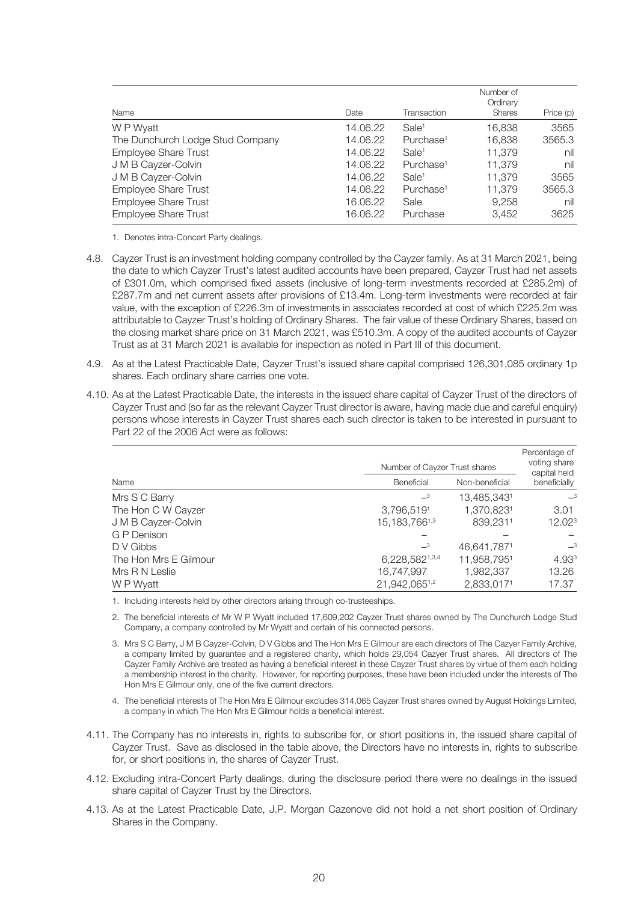| Name                             | Date     | Transaction           | Number of<br>Ordinary<br><b>Shares</b> | Price $(p)$ |
|----------------------------------|----------|-----------------------|----------------------------------------|-------------|
| W P Wyatt                        | 14.06.22 | Sale <sup>1</sup>     | 16,838                                 | 3565        |
| The Dunchurch Lodge Stud Company | 14.06.22 | Purchase <sup>1</sup> | 16.838                                 | 3565.3      |
| <b>Employee Share Trust</b>      | 14.06.22 | Sale <sup>1</sup>     | 11,379                                 | nil         |
| J M B Cayzer-Colvin              | 14.06.22 | Purchase <sup>1</sup> | 11.379                                 | nil         |
| J M B Cayzer-Colvin              | 14.06.22 | Sale <sup>1</sup>     | 11.379                                 | 3565        |
| <b>Employee Share Trust</b>      | 14.06.22 | Purchase <sup>1</sup> | 11.379                                 | 3565.3      |
| <b>Employee Share Trust</b>      | 16.06.22 | Sale                  | 9,258                                  | nil         |
| <b>Employee Share Trust</b>      | 16.06.22 | Purchase              | 3.452                                  | 3625        |

1. Denotes intra-Concert Party dealings.

- 4.8. Cayzer Trust is an investment holding company controlled by the Cayzer family. As at 31 March 2021, being the date to which Cayzer Trust's latest audited accounts have been prepared, Cayzer Trust had net assets of £301.0m, which comprised fixed assets (inclusive of long-term investments recorded at £285.2m) of £287.7m and net current assets after provisions of £13.4m. Long-term investments were recorded at fair value, with the exception of £226.3m of investments in associates recorded at cost of which £225.2m was attributable to Cayzer Trust's holding of Ordinary Shares. The fair value of these Ordinary Shares, based on the closing market share price on 31 March 2021, was £510.3m. A copy of the audited accounts of Cayzer Trust as at 31 March 2021 is available for inspection as noted in Part III of this document.
- 4.9. As at the Latest Practicable Date, Cayzer Trust's issued share capital comprised 126,301,085 ordinary 1p shares. Each ordinary share carries one vote.
- 4.10. As at the Latest Practicable Date, the interests in the issued share capital of Cayzer Trust of the directors of Cayzer Trust and (so far as the relevant Cayzer Trust director is aware, having made due and careful enquiry) persons whose interests in Cayzer Trust shares each such director is taken to be interested in pursuant to Part 22 of the 2006 Act were as follows:

|                       | Number of Cayzer Trust shares | Percentage of<br>voting share<br>capital held |                    |
|-----------------------|-------------------------------|-----------------------------------------------|--------------------|
| Name                  | Beneficial                    | Non-beneficial                                | beneficially       |
| Mrs S C Barry         | $-3$                          | 13,485,3431                                   | $-3$               |
| The Hon C W Cayzer    | 3,796,5191                    | 1,370,8231                                    | 3.01               |
| J M B Cayzer-Colvin   | 15, 183, 7661, 3              | 839.2311                                      | 12.02 <sup>3</sup> |
| G P Denison           |                               |                                               |                    |
| D V Gibbs             | $\overline{\phantom{0}}^3$    | 46,641,7871                                   | $-3$               |
| The Hon Mrs E Gilmour | 6,228,5821,3,4                | 11,958,7951                                   | 4.933              |
| Mrs R N Leslie        | 16,747,997                    | 1,982,337                                     | 13.26              |
| W P Wyatt             | 21,942,0651,2                 | 2,833,0171                                    | 17.37              |

1. Including interests held by other directors arising through co-trusteeships.

- 2. The beneficial interests of Mr W P Wyatt included 17,609,202 Cayzer Trust shares owned by The Dunchurch Lodge Stud Company, a company controlled by Mr Wyatt and certain of his connected persons.
- 3. Mrs S C Barry, J M B Cayzer-Colvin, D V Gibbs and The Hon Mrs E Gilmour are each directors of The Cazyer Family Archive, a company limited by guarantee and a registered charity, which holds 29,054 Cazyer Trust shares. All directors of The Cayzer Family Archive are treated as having a beneficial interest in these Cayzer Trust shares by virtue of them each holding a membership interest in the charity. However, for reporting purposes, these have been included under the interests of The Hon Mrs E Gilmour only, one of the five current directors.
- 4. The beneficial interests of The Hon Mrs E Gilmour excludes 314,065 Cayzer Trust shares owned by August Holdings Limited, a company in which The Hon Mrs E Gilmour holds a beneficial interest.
- 4.11. The Company has no interests in, rights to subscribe for, or short positions in, the issued share capital of Cayzer Trust. Save as disclosed in the table above, the Directors have no interests in, rights to subscribe for, or short positions in, the shares of Cayzer Trust.
- 4.12. Excluding intra-Concert Party dealings, during the disclosure period there were no dealings in the issued share capital of Cayzer Trust by the Directors.
- 4.13. As at the Latest Practicable Date, J.P. Morgan Cazenove did not hold a net short position of Ordinary Shares in the Company.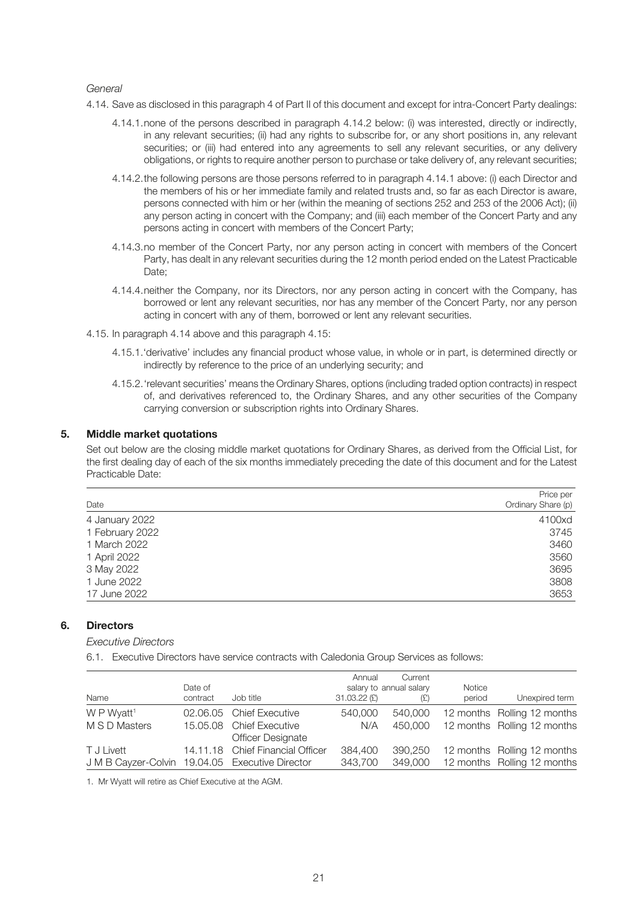#### *General*

- 4.14. Save as disclosed in this paragraph 4 of Part II of this document and except for intra-Concert Party dealings:
	- 4.14.1.none of the persons described in paragraph 4.14.2 below: (i) was interested, directly or indirectly, in any relevant securities; (ii) had any rights to subscribe for, or any short positions in, any relevant securities; or (iii) had entered into any agreements to sell any relevant securities, or any delivery obligations, or rights to require another person to purchase or take delivery of, any relevant securities;
	- 4.14.2.the following persons are those persons referred to in paragraph 4.14.1 above: (i) each Director and the members of his or her immediate family and related trusts and, so far as each Director is aware, persons connected with him or her (within the meaning of sections 252 and 253 of the 2006 Act); (ii) any person acting in concert with the Company; and (iii) each member of the Concert Party and any persons acting in concert with members of the Concert Party;
	- 4.14.3.no member of the Concert Party, nor any person acting in concert with members of the Concert Party, has dealt in any relevant securities during the 12 month period ended on the Latest Practicable Date;
	- 4.14.4.neither the Company, nor its Directors, nor any person acting in concert with the Company, has borrowed or lent any relevant securities, nor has any member of the Concert Party, nor any person acting in concert with any of them, borrowed or lent any relevant securities.
- 4.15. In paragraph 4.14 above and this paragraph 4.15:
	- 4.15.1.'derivative' includes any financial product whose value, in whole or in part, is determined directly or indirectly by reference to the price of an underlying security; and
	- 4.15.2.'relevant securities' means the Ordinary Shares, options (including traded option contracts) in respect of, and derivatives referenced to, the Ordinary Shares, and any other securities of the Company carrying conversion or subscription rights into Ordinary Shares.

#### **5. Middle market quotations**

Set out below are the closing middle market quotations for Ordinary Shares, as derived from the Official List, for the first dealing day of each of the six months immediately preceding the date of this document and for the Latest Practicable Date:

| Date            | Price per<br>Ordinary Share (p) |
|-----------------|---------------------------------|
| 4 January 2022  | 4100xd                          |
| 1 February 2022 | 3745                            |
| 1 March 2022    | 3460                            |
| 1 April 2022    | 3560                            |
| 3 May 2022      | 3695                            |
| 1 June 2022     | 3808                            |
| 17 June 2022    | 3653                            |

#### **6. Directors**

*Executive Directors*

6.1. Executive Directors have service contracts with Caledonia Group Services as follows:

| Name                                            | Date of<br>contract | Job title                                            | Annual<br>$31.03.22$ (£) | Current<br>salary to annual salary<br>(E) | Notice<br>period | Unexpired term                                             |
|-------------------------------------------------|---------------------|------------------------------------------------------|--------------------------|-------------------------------------------|------------------|------------------------------------------------------------|
| W P Wyatt <sup>1</sup><br>M S D Masters         |                     | 02.06.05 Chief Executive<br>15.05.08 Chief Executive | 540,000<br>N/A           | 540,000<br>450,000                        |                  | 12 months Rolling 12 months<br>12 months Rolling 12 months |
|                                                 |                     | <b>Officer Designate</b>                             |                          |                                           |                  |                                                            |
| T J Livett                                      |                     | 14.11.18 Chief Financial Officer                     | 384,400                  | 390.250                                   |                  | 12 months Rolling 12 months                                |
| J M B Cayzer-Colvin 19.04.05 Executive Director |                     |                                                      | 343,700                  | 349,000                                   |                  | 12 months Rolling 12 months                                |

1. Mr Wyatt will retire as Chief Executive at the AGM.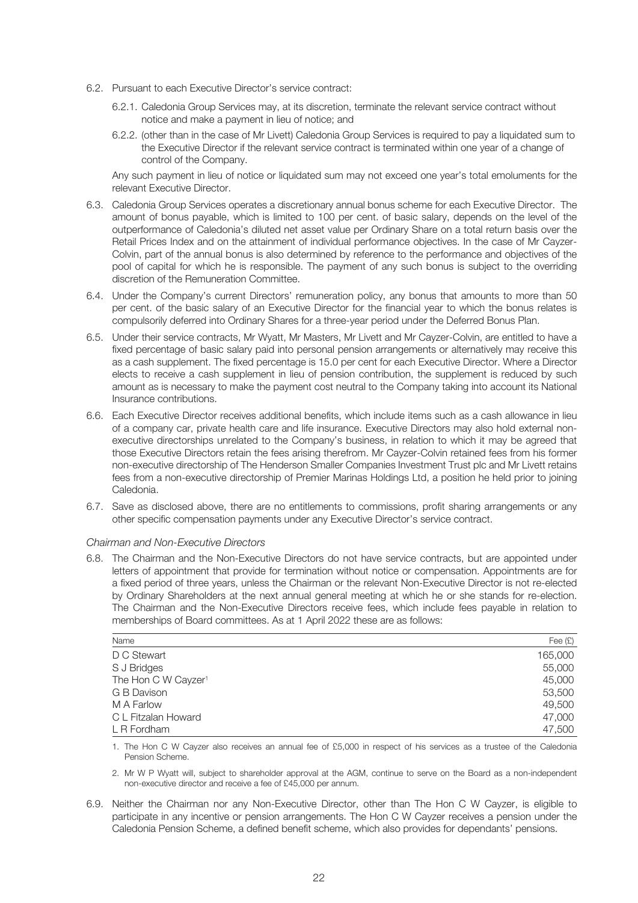- 6.2. Pursuant to each Executive Director's service contract:
	- 6.2.1. Caledonia Group Services may, at its discretion, terminate the relevant service contract without notice and make a payment in lieu of notice; and
	- 6.2.2. (other than in the case of Mr Livett) Caledonia Group Services is required to pay a liquidated sum to the Executive Director if the relevant service contract is terminated within one year of a change of control of the Company.

Any such payment in lieu of notice or liquidated sum may not exceed one year's total emoluments for the relevant Executive Director.

- 6.3. Caledonia Group Services operates a discretionary annual bonus scheme for each Executive Director. The amount of bonus payable, which is limited to 100 per cent. of basic salary, depends on the level of the outperformance of Caledonia's diluted net asset value per Ordinary Share on a total return basis over the Retail Prices Index and on the attainment of individual performance objectives. In the case of Mr Cayzer-Colvin, part of the annual bonus is also determined by reference to the performance and objectives of the pool of capital for which he is responsible. The payment of any such bonus is subject to the overriding discretion of the Remuneration Committee.
- 6.4. Under the Company's current Directors' remuneration policy, any bonus that amounts to more than 50 per cent. of the basic salary of an Executive Director for the financial year to which the bonus relates is compulsorily deferred into Ordinary Shares for a three-year period under the Deferred Bonus Plan.
- 6.5. Under their service contracts, Mr Wyatt, Mr Masters, Mr Livett and Mr Cayzer-Colvin, are entitled to have a fixed percentage of basic salary paid into personal pension arrangements or alternatively may receive this as a cash supplement. The fixed percentage is 15.0 per cent for each Executive Director. Where a Director elects to receive a cash supplement in lieu of pension contribution, the supplement is reduced by such amount as is necessary to make the payment cost neutral to the Company taking into account its National Insurance contributions.
- 6.6. Each Executive Director receives additional benefits, which include items such as a cash allowance in lieu of a company car, private health care and life insurance. Executive Directors may also hold external nonexecutive directorships unrelated to the Company's business, in relation to which it may be agreed that those Executive Directors retain the fees arising therefrom. Mr Cayzer-Colvin retained fees from his former non-executive directorship of The Henderson Smaller Companies Investment Trust plc and Mr Livett retains fees from a non-executive directorship of Premier Marinas Holdings Ltd, a position he held prior to joining Caledonia.
- 6.7. Save as disclosed above, there are no entitlements to commissions, profit sharing arrangements or any other specific compensation payments under any Executive Director's service contract.

#### *Chairman and Non-Executive Directors*

6.8. The Chairman and the Non-Executive Directors do not have service contracts, but are appointed under letters of appointment that provide for termination without notice or compensation. Appointments are for a fixed period of three years, unless the Chairman or the relevant Non-Executive Director is not re-elected by Ordinary Shareholders at the next annual general meeting at which he or she stands for re-election. The Chairman and the Non-Executive Directors receive fees, which include fees payable in relation to memberships of Board committees. As at 1 April 2022 these are as follows:

| Name                            | Fee $(E)$ |
|---------------------------------|-----------|
| D C Stewart                     | 165,000   |
| S J Bridges                     | 55,000    |
| The Hon C W Cayzer <sup>1</sup> | 45,000    |
| G B Davison                     | 53,500    |
| M A Farlow                      | 49,500    |
| C L Fitzalan Howard             | 47,000    |
| L R Fordham                     | 47,500    |

1. The Hon C W Cayzer also receives an annual fee of £5,000 in respect of his services as a trustee of the Caledonia Pension Scheme.

2. Mr W P Wyatt will, subject to shareholder approval at the AGM, continue to serve on the Board as a non-independent non-executive director and receive a fee of £45,000 per annum.

6.9. Neither the Chairman nor any Non-Executive Director, other than The Hon C W Cayzer, is eligible to participate in any incentive or pension arrangements. The Hon C W Cayzer receives a pension under the Caledonia Pension Scheme, a defined benefit scheme, which also provides for dependants' pensions.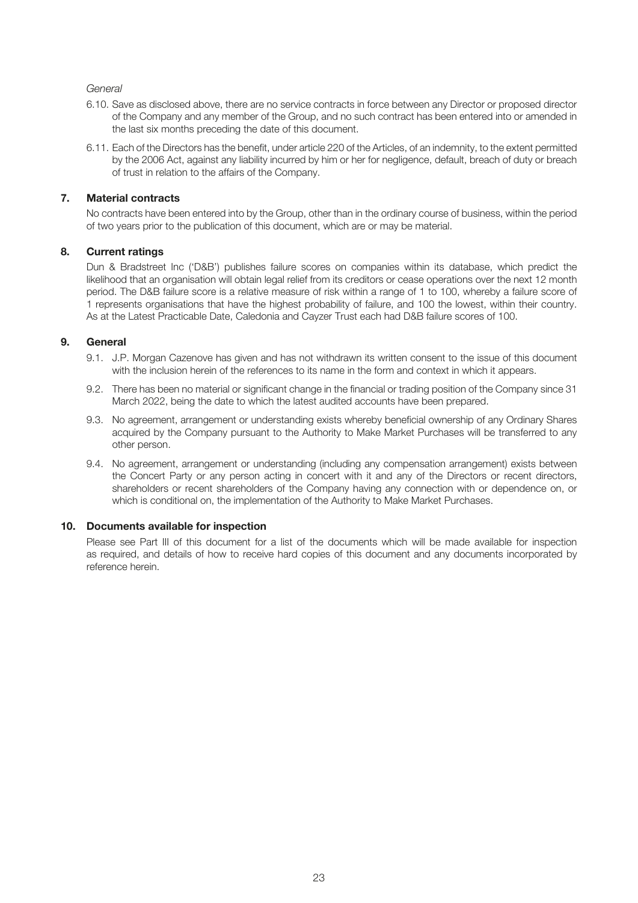#### *General*

- 6.10. Save as disclosed above, there are no service contracts in force between any Director or proposed director of the Company and any member of the Group, and no such contract has been entered into or amended in the last six months preceding the date of this document.
- 6.11. Each of the Directors has the benefit, under article 220 of the Articles, of an indemnity, to the extent permitted by the 2006 Act, against any liability incurred by him or her for negligence, default, breach of duty or breach of trust in relation to the affairs of the Company.

#### **7. Material contracts**

No contracts have been entered into by the Group, other than in the ordinary course of business, within the period of two years prior to the publication of this document, which are or may be material.

#### **8. Current ratings**

Dun & Bradstreet Inc ('D&B') publishes failure scores on companies within its database, which predict the likelihood that an organisation will obtain legal relief from its creditors or cease operations over the next 12 month period. The D&B failure score is a relative measure of risk within a range of 1 to 100, whereby a failure score of 1 represents organisations that have the highest probability of failure, and 100 the lowest, within their country. As at the Latest Practicable Date, Caledonia and Cayzer Trust each had D&B failure scores of 100.

#### **9. General**

- 9.1. J.P. Morgan Cazenove has given and has not withdrawn its written consent to the issue of this document with the inclusion herein of the references to its name in the form and context in which it appears.
- 9.2. There has been no material or significant change in the financial or trading position of the Company since 31 March 2022, being the date to which the latest audited accounts have been prepared.
- 9.3. No agreement, arrangement or understanding exists whereby beneficial ownership of any Ordinary Shares acquired by the Company pursuant to the Authority to Make Market Purchases will be transferred to any other person.
- 9.4. No agreement, arrangement or understanding (including any compensation arrangement) exists between the Concert Party or any person acting in concert with it and any of the Directors or recent directors, shareholders or recent shareholders of the Company having any connection with or dependence on, or which is conditional on, the implementation of the Authority to Make Market Purchases.

#### **10. Documents available for inspection**

Please see Part III of this document for a list of the documents which will be made available for inspection as required, and details of how to receive hard copies of this document and any documents incorporated by reference herein.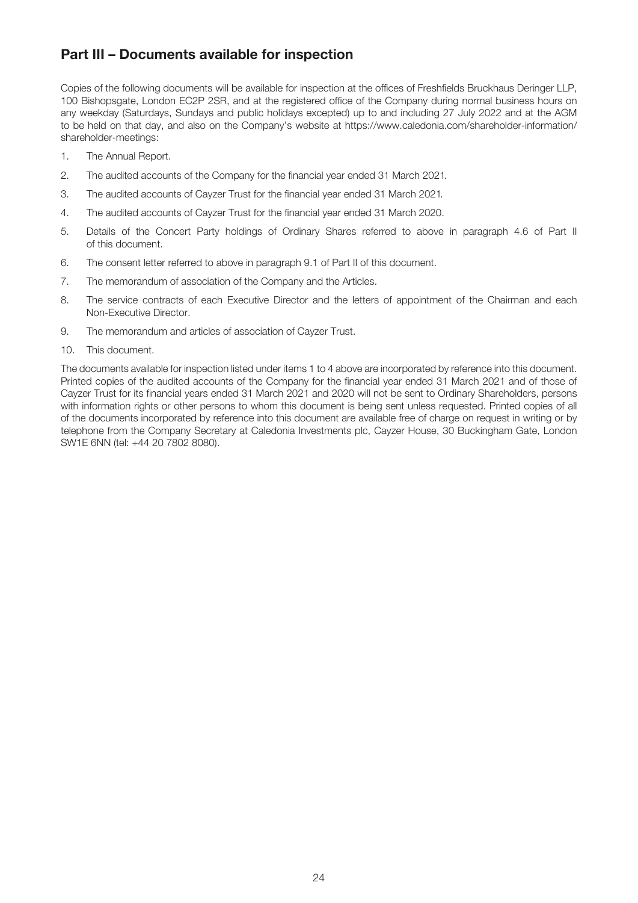### **Part III – Documents available for inspection**

Copies of the following documents will be available for inspection at the offices of Freshfields Bruckhaus Deringer LLP, 100 Bishopsgate, London EC2P 2SR, and at the registered office of the Company during normal business hours on any weekday (Saturdays, Sundays and public holidays excepted) up to and including 27 July 2022 and at the AGM to be held on that day, and also on the Company's website at https://www.caledonia.com/shareholder-information/ shareholder-meetings:

- 1. The Annual Report.
- 2. The audited accounts of the Company for the financial year ended 31 March 2021.
- 3. The audited accounts of Cayzer Trust for the financial year ended 31 March 2021.
- 4. The audited accounts of Cayzer Trust for the financial year ended 31 March 2020.
- 5. Details of the Concert Party holdings of Ordinary Shares referred to above in paragraph 4.6 of Part II of this document.
- 6. The consent letter referred to above in paragraph 9.1 of Part II of this document.
- 7. The memorandum of association of the Company and the Articles.
- 8. The service contracts of each Executive Director and the letters of appointment of the Chairman and each Non-Executive Director.
- 9. The memorandum and articles of association of Cayzer Trust.
- 10. This document.

The documents available for inspection listed under items 1 to 4 above are incorporated by reference into this document. Printed copies of the audited accounts of the Company for the financial year ended 31 March 2021 and of those of Cayzer Trust for its financial years ended 31 March 2021 and 2020 will not be sent to Ordinary Shareholders, persons with information rights or other persons to whom this document is being sent unless requested. Printed copies of all of the documents incorporated by reference into this document are available free of charge on request in writing or by telephone from the Company Secretary at Caledonia Investments plc, Cayzer House, 30 Buckingham Gate, London SW1E 6NN (tel: +44 20 7802 8080).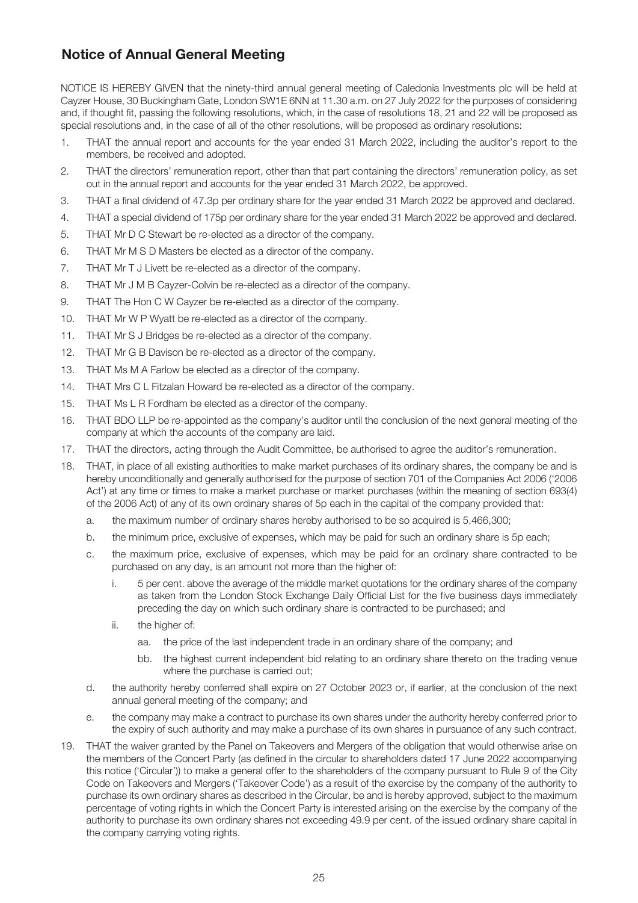# **Notice of Annual General Meeting**

NOTICE IS HEREBY GIVEN that the ninety-third annual general meeting of Caledonia Investments plc will be held at Cayzer House, 30 Buckingham Gate, London SW1E 6NN at 11.30 a.m. on 27 July 2022 for the purposes of considering and, if thought fit, passing the following resolutions, which, in the case of resolutions 18, 21 and 22 will be proposed as special resolutions and, in the case of all of the other resolutions, will be proposed as ordinary resolutions:

- 1. THAT the annual report and accounts for the year ended 31 March 2022, including the auditor's report to the members, be received and adopted.
- 2. THAT the directors' remuneration report, other than that part containing the directors' remuneration policy, as set out in the annual report and accounts for the year ended 31 March 2022, be approved.
- 3. THAT a final dividend of 47.3p per ordinary share for the year ended 31 March 2022 be approved and declared.
- 4. THAT a special dividend of 175p per ordinary share for the year ended 31 March 2022 be approved and declared.
- 5. THAT Mr D C Stewart be re-elected as a director of the company.
- 6. THAT Mr M S D Masters be elected as a director of the company.
- 7. THAT Mr T J Livett be re-elected as a director of the company.
- 8. THAT Mr J M B Cayzer-Colvin be re-elected as a director of the company.
- 9. THAT The Hon C W Cayzer be re-elected as a director of the company.
- 10. THAT Mr W P Wyatt be re-elected as a director of the company.
- 11. THAT Mr S J Bridges be re-elected as a director of the company.
- 12. THAT Mr G B Davison be re-elected as a director of the company.
- 13. THAT Ms M A Farlow be elected as a director of the company.
- 14. THAT Mrs C L Fitzalan Howard be re-elected as a director of the company.
- 15. THAT Ms L R Fordham be elected as a director of the company.
- 16. THAT BDO LLP be re-appointed as the company's auditor until the conclusion of the next general meeting of the company at which the accounts of the company are laid.
- 17. THAT the directors, acting through the Audit Committee, be authorised to agree the auditor's remuneration.
- 18. THAT, in place of all existing authorities to make market purchases of its ordinary shares, the company be and is hereby unconditionally and generally authorised for the purpose of section 701 of the Companies Act 2006 ('2006 Act') at any time or times to make a market purchase or market purchases (within the meaning of section 693(4) of the 2006 Act) of any of its own ordinary shares of 5p each in the capital of the company provided that:
	- a. the maximum number of ordinary shares hereby authorised to be so acquired is 5,466,300;
	- b. the minimum price, exclusive of expenses, which may be paid for such an ordinary share is 5p each;
	- c. the maximum price, exclusive of expenses, which may be paid for an ordinary share contracted to be purchased on any day, is an amount not more than the higher of:
		- i. 5 per cent. above the average of the middle market quotations for the ordinary shares of the company as taken from the London Stock Exchange Daily Official List for the five business days immediately preceding the day on which such ordinary share is contracted to be purchased; and
		- ii. the higher of:
			- aa. the price of the last independent trade in an ordinary share of the company; and
			- bb. the highest current independent bid relating to an ordinary share thereto on the trading venue where the purchase is carried out;
	- d. the authority hereby conferred shall expire on 27 October 2023 or, if earlier, at the conclusion of the next annual general meeting of the company; and
	- e. the company may make a contract to purchase its own shares under the authority hereby conferred prior to the expiry of such authority and may make a purchase of its own shares in pursuance of any such contract.
- 19. THAT the waiver granted by the Panel on Takeovers and Mergers of the obligation that would otherwise arise on the members of the Concert Party (as defined in the circular to shareholders dated 17 June 2022 accompanying this notice ('Circular')) to make a general offer to the shareholders of the company pursuant to Rule 9 of the City Code on Takeovers and Mergers ('Takeover Code') as a result of the exercise by the company of the authority to purchase its own ordinary shares as described in the Circular, be and is hereby approved, subject to the maximum percentage of voting rights in which the Concert Party is interested arising on the exercise by the company of the authority to purchase its own ordinary shares not exceeding 49.9 per cent. of the issued ordinary share capital in the company carrying voting rights.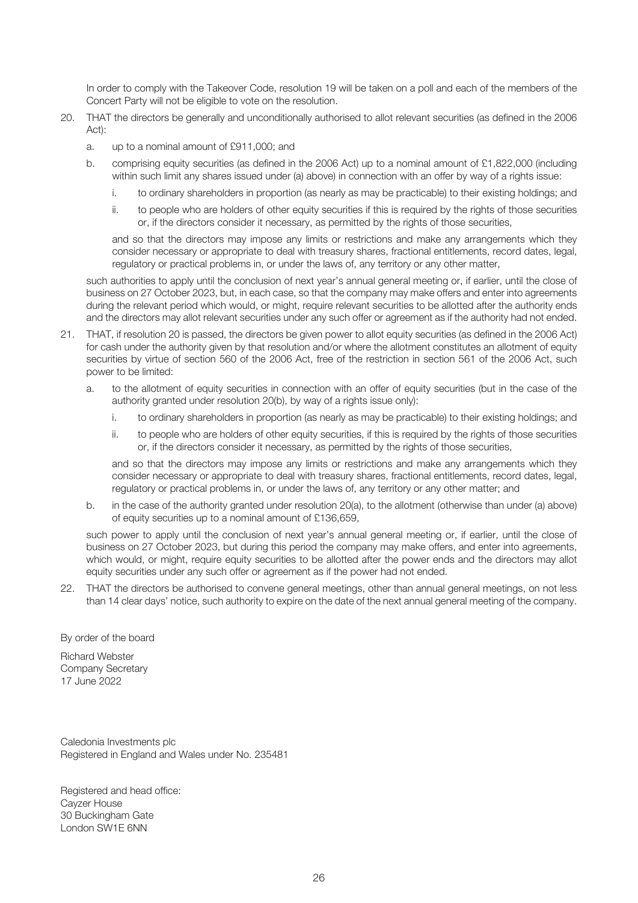In order to comply with the Takeover Code, resolution 19 will be taken on a poll and each of the members of the Concert Party will not be eligible to vote on the resolution.

- 20. THAT the directors be generally and unconditionally authorised to allot relevant securities (as defined in the 2006 Act):
	- a. up to a nominal amount of £911,000; and
	- b. comprising equity securities (as defined in the 2006 Act) up to a nominal amount of £1,822,000 (including within such limit any shares issued under (a) above) in connection with an offer by way of a rights issue:
		- i. to ordinary shareholders in proportion (as nearly as may be practicable) to their existing holdings; and
		- ii. to people who are holders of other equity securities if this is required by the rights of those securities or, if the directors consider it necessary, as permitted by the rights of those securities,

 and so that the directors may impose any limits or restrictions and make any arrangements which they consider necessary or appropriate to deal with treasury shares, fractional entitlements, record dates, legal, regulatory or practical problems in, or under the laws of, any territory or any other matter,

such authorities to apply until the conclusion of next year's annual general meeting or, if earlier, until the close of business on 27 October 2023, but, in each case, so that the company may make offers and enter into agreements during the relevant period which would, or might, require relevant securities to be allotted after the authority ends and the directors may allot relevant securities under any such offer or agreement as if the authority had not ended.

- 21. THAT, if resolution 20 is passed, the directors be given power to allot equity securities (as defined in the 2006 Act) for cash under the authority given by that resolution and/or where the allotment constitutes an allotment of equity securities by virtue of section 560 of the 2006 Act, free of the restriction in section 561 of the 2006 Act, such power to be limited:
	- a. to the allotment of equity securities in connection with an offer of equity securities (but in the case of the authority granted under resolution 20(b), by way of a rights issue only):
		- i. to ordinary shareholders in proportion (as nearly as may be practicable) to their existing holdings; and
		- ii. to people who are holders of other equity securities, if this is required by the rights of those securities or, if the directors consider it necessary, as permitted by the rights of those securities,

 and so that the directors may impose any limits or restrictions and make any arrangements which they consider necessary or appropriate to deal with treasury shares, fractional entitlements, record dates, legal, regulatory or practical problems in, or under the laws of, any territory or any other matter; and

b. in the case of the authority granted under resolution 20(a), to the allotment (otherwise than under (a) above) of equity securities up to a nominal amount of £136,659,

such power to apply until the conclusion of next year's annual general meeting or, if earlier, until the close of business on 27 October 2023, but during this period the company may make offers, and enter into agreements, which would, or might, require equity securities to be allotted after the power ends and the directors may allot equity securities under any such offer or agreement as if the power had not ended.

22. THAT the directors be authorised to convene general meetings, other than annual general meetings, on not less than 14 clear days' notice, such authority to expire on the date of the next annual general meeting of the company.

By order of the board

Richard Webster Company Secretary 17 June 2022

Caledonia Investments plc Registered in England and Wales under No. 235481

Registered and head office: Cayzer House 30 Buckingham Gate London SW1E 6NN